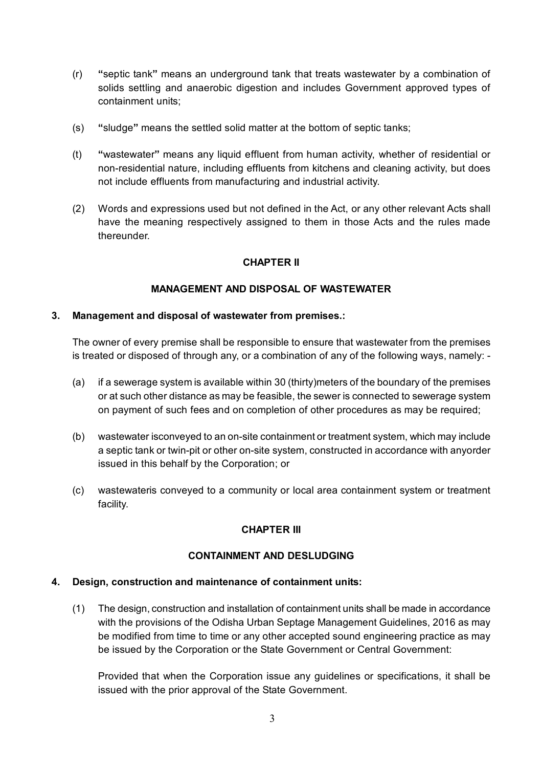- (r) **"**septic tank**"** means an underground tank that treats wastewater by a combination of solids settling and anaerobic digestion and includes Government approved types of containment units;
- (s) **"**sludge**"** means the settled solid matter at the bottom of septic tanks;
- (t) **"**wastewater**"** means any liquid effluent from human activity, whether of residential or non-residential nature, including effluents from kitchens and cleaning activity, but does not include effluents from manufacturing and industrial activity.
- (2) Words and expressions used but not defined in the Act, or any other relevant Acts shall have the meaning respectively assigned to them in those Acts and the rules made thereunder.

## **CHAPTER II**

## **MANAGEMENT AND DISPOSAL OF WASTEWATER**

#### **3. Management and disposal of wastewater from premises.:**

The owner of every premise shall be responsible to ensure that wastewater from the premises is treated or disposed of through any, or a combination of any of the following ways, namely: -

- (a) if a sewerage system is available within 30 (thirty)meters of the boundary of the premises or at such other distance as may be feasible, the sewer is connected to sewerage system on payment of such fees and on completion of other procedures as may be required;
- (b) wastewater isconveyed to an on-site containment or treatment system, which may include a septic tank or twin-pit or other on-site system, constructed in accordance with anyorder issued in this behalf by the Corporation; or
- (c) wastewateris conveyed to a community or local area containment system or treatment facility.

#### **CHAPTER III**

#### **CONTAINMENT AND DESLUDGING**

#### **4. Design, construction and maintenance of containment units:**

(1) The design, construction and installation of containment units shall be made in accordance with the provisions of the Odisha Urban Septage Management Guidelines, 2016 as may be modified from time to time or any other accepted sound engineering practice as may be issued by the Corporation or the State Government or Central Government:

Provided that when the Corporation issue any guidelines or specifications, it shall be issued with the prior approval of the State Government.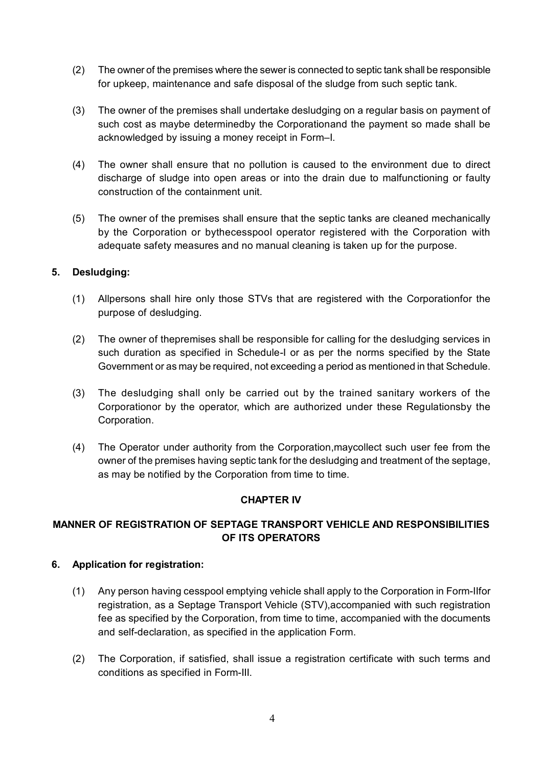- (2) The owner of the premises where the sewer is connected to septic tank shall be responsible for upkeep, maintenance and safe disposal of the sludge from such septic tank.
- (3) The owner of the premises shall undertake desludging on a regular basis on payment of such cost as maybe determinedby the Corporationand the payment so made shall be acknowledged by issuing a money receipt in Form–I.
- (4) The owner shall ensure that no pollution is caused to the environment due to direct discharge of sludge into open areas or into the drain due to malfunctioning or faulty construction of the containment unit.
- (5) The owner of the premises shall ensure that the septic tanks are cleaned mechanically by the Corporation or bythecesspool operator registered with the Corporation with adequate safety measures and no manual cleaning is taken up for the purpose.

## **5. Desludging:**

- (1) Allpersons shall hire only those STVs that are registered with the Corporationfor the purpose of desludging.
- (2) The owner of thepremises shall be responsible for calling for the desludging services in such duration as specified in Schedule-I or as per the norms specified by the State Government or as may be required, not exceeding a period as mentioned in that Schedule.
- (3) The desludging shall only be carried out by the trained sanitary workers of the Corporationor by the operator, which are authorized under these Regulationsby the Corporation.
- (4) The Operator under authority from the Corporation,maycollect such user fee from the owner of the premises having septic tank for the desludging and treatment of the septage, as may be notified by the Corporation from time to time.

#### **CHAPTER IV**

## **MANNER OF REGISTRATION OF SEPTAGE TRANSPORT VEHICLE AND RESPONSIBILITIES OF ITS OPERATORS**

#### **6. Application for registration:**

- (1) Any person having cesspool emptying vehicle shall apply to the Corporation in Form-IIfor registration, as a Septage Transport Vehicle (STV),accompanied with such registration fee as specified by the Corporation, from time to time, accompanied with the documents and self-declaration, as specified in the application Form.
- (2) The Corporation, if satisfied, shall issue a registration certificate with such terms and conditions as specified in Form-III.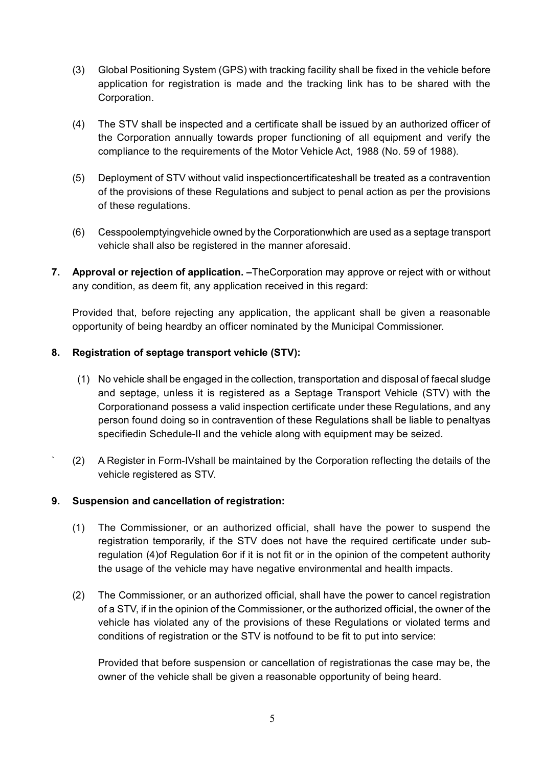- (3) Global Positioning System (GPS) with tracking facility shall be fixed in the vehicle before application for registration is made and the tracking link has to be shared with the Corporation.
- (4) The STV shall be inspected and a certificate shall be issued by an authorized officer of the Corporation annually towards proper functioning of all equipment and verify the compliance to the requirements of the Motor Vehicle Act, 1988 (No. 59 of 1988).
- (5) Deployment of STV without valid inspectioncertificateshall be treated as a contravention of the provisions of these Regulations and subject to penal action as per the provisions of these regulations.
- (6) Cesspoolemptyingvehicle owned by the Corporationwhich are used as a septage transport vehicle shall also be registered in the manner aforesaid.
- **7. Approval or rejection of application. –**TheCorporation may approve or reject with or without any condition, as deem fit, any application received in this regard:

Provided that, before rejecting any application, the applicant shall be given a reasonable opportunity of being heardby an officer nominated by the Municipal Commissioner.

## **8. Registration of septage transport vehicle (STV):**

- (1) No vehicle shall be engaged in the collection, transportation and disposal of faecal sludge and septage, unless it is registered as a Septage Transport Vehicle (STV) with the Corporationand possess a valid inspection certificate under these Regulations, and any person found doing so in contravention of these Regulations shall be liable to penaltyas specifiedin Schedule-II and the vehicle along with equipment may be seized.
- ` (2) A Register in Form-IVshall be maintained by the Corporation reflecting the details of the vehicle registered as STV.

#### **9. Suspension and cancellation of registration:**

- (1) The Commissioner, or an authorized official, shall have the power to suspend the registration temporarily, if the STV does not have the required certificate under subregulation (4)of Regulation 6or if it is not fit or in the opinion of the competent authority the usage of the vehicle may have negative environmental and health impacts.
- (2) The Commissioner, or an authorized official, shall have the power to cancel registration of a STV, if in the opinion of the Commissioner, or the authorized official, the owner of the vehicle has violated any of the provisions of these Regulations or violated terms and conditions of registration or the STV is notfound to be fit to put into service:

Provided that before suspension or cancellation of registrationas the case may be, the owner of the vehicle shall be given a reasonable opportunity of being heard.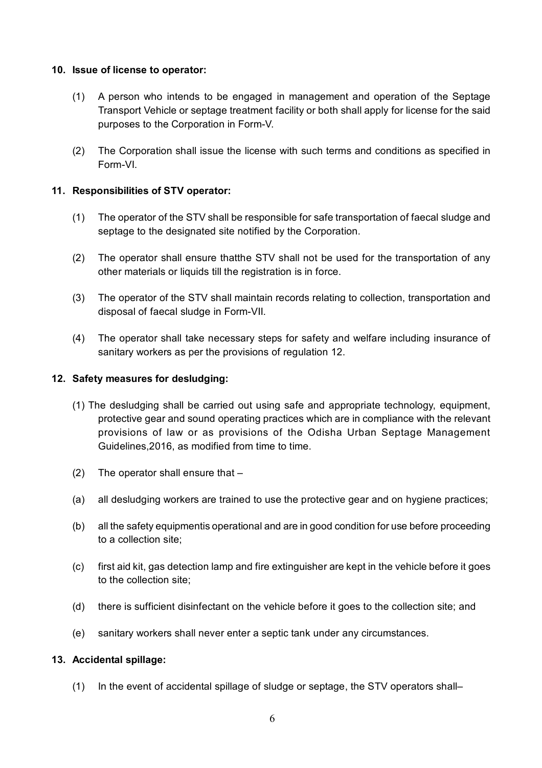#### **10. Issue of license to operator:**

- (1) A person who intends to be engaged in management and operation of the Septage Transport Vehicle or septage treatment facility or both shall apply for license for the said purposes to the Corporation in Form-V.
- (2) The Corporation shall issue the license with such terms and conditions as specified in Form-VI.

#### **11. Responsibilities of STV operator:**

- (1) The operator of the STV shall be responsible for safe transportation of faecal sludge and septage to the designated site notified by the Corporation.
- (2) The operator shall ensure thatthe STV shall not be used for the transportation of any other materials or liquids till the registration is in force.
- (3) The operator of the STV shall maintain records relating to collection, transportation and disposal of faecal sludge in Form-VII.
- (4) The operator shall take necessary steps for safety and welfare including insurance of sanitary workers as per the provisions of regulation 12.

#### **12. Safety measures for desludging:**

- (1) The desludging shall be carried out using safe and appropriate technology, equipment, protective gear and sound operating practices which are in compliance with the relevant provisions of law or as provisions of the Odisha Urban Septage Management Guidelines,2016, as modified from time to time.
- (2) The operator shall ensure that –
- (a) all desludging workers are trained to use the protective gear and on hygiene practices;
- (b) all the safety equipmentis operational and are in good condition for use before proceeding to a collection site;
- (c) first aid kit, gas detection lamp and fire extinguisher are kept in the vehicle before it goes to the collection site;
- (d) there is sufficient disinfectant on the vehicle before it goes to the collection site; and
- (e) sanitary workers shall never enter a septic tank under any circumstances.

#### **13. Accidental spillage:**

(1) In the event of accidental spillage of sludge or septage, the STV operators shall–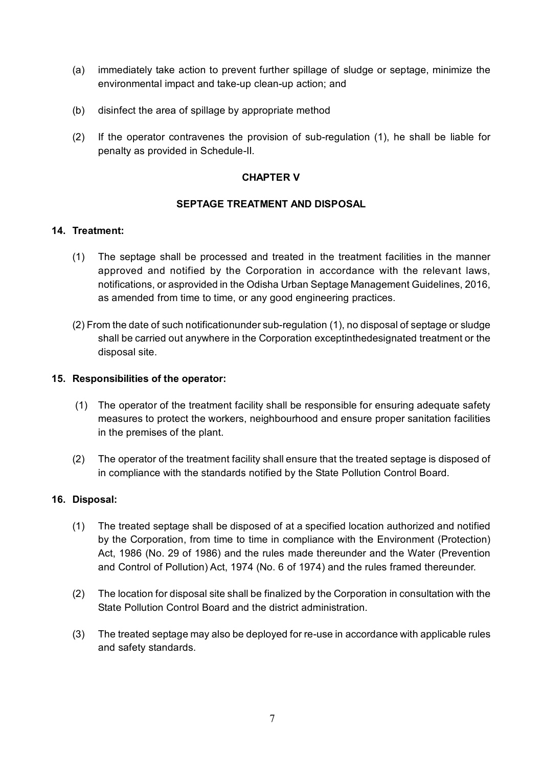- (a) immediately take action to prevent further spillage of sludge or septage, minimize the environmental impact and take-up clean-up action; and
- (b) disinfect the area of spillage by appropriate method
- (2) If the operator contravenes the provision of sub-regulation (1), he shall be liable for penalty as provided in Schedule-II.

## **CHAPTER V**

#### **SEPTAGE TREATMENT AND DISPOSAL**

## **14. Treatment:**

- (1) The septage shall be processed and treated in the treatment facilities in the manner approved and notified by the Corporation in accordance with the relevant laws, notifications, or asprovided in the Odisha Urban Septage Management Guidelines, 2016, as amended from time to time, or any good engineering practices.
- (2) From the date of such notificationunder sub-regulation (1), no disposal of septage or sludge shall be carried out anywhere in the Corporation exceptinthedesignated treatment or the disposal site.

#### **15. Responsibilities of the operator:**

- (1) The operator of the treatment facility shall be responsible for ensuring adequate safety measures to protect the workers, neighbourhood and ensure proper sanitation facilities in the premises of the plant.
- (2) The operator of the treatment facility shall ensure that the treated septage is disposed of in compliance with the standards notified by the State Pollution Control Board.

#### **16. Disposal:**

- (1) The treated septage shall be disposed of at a specified location authorized and notified by the Corporation, from time to time in compliance with the Environment (Protection) Act, 1986 (No. 29 of 1986) and the rules made thereunder and the Water (Prevention and Control of Pollution) Act, 1974 (No. 6 of 1974) and the rules framed thereunder.
- (2) The location for disposal site shall be finalized by the Corporation in consultation with the State Pollution Control Board and the district administration.
- (3) The treated septage may also be deployed for re-use in accordance with applicable rules and safety standards.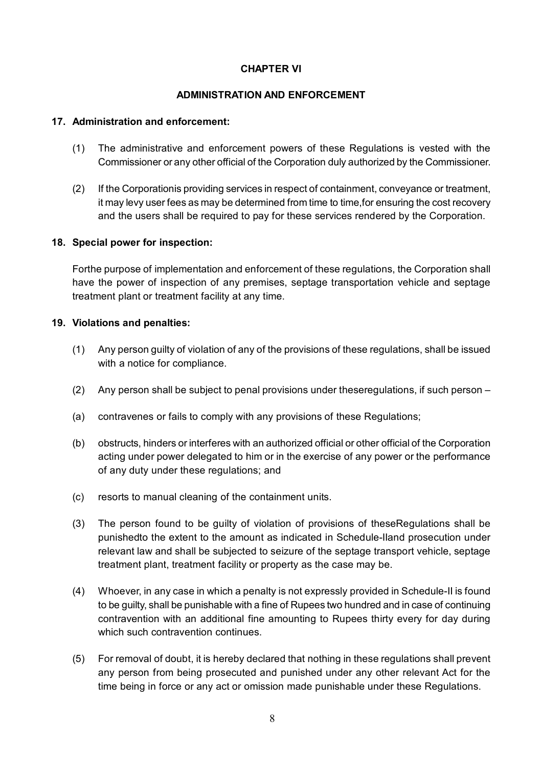## **CHAPTER VI**

## **ADMINISTRATION AND ENFORCEMENT**

## **17. Administration and enforcement:**

- (1) The administrative and enforcement powers of these Regulations is vested with the Commissioner or any other official of the Corporation duly authorized by the Commissioner.
- (2) If the Corporationis providing services in respect of containment, conveyance or treatment, it may levy user fees as may be determined from time to time,for ensuring the cost recovery and the users shall be required to pay for these services rendered by the Corporation.

## **18. Special power for inspection:**

Forthe purpose of implementation and enforcement of these regulations, the Corporation shall have the power of inspection of any premises, septage transportation vehicle and septage treatment plant or treatment facility at any time.

## **19. Violations and penalties:**

- (1) Any person guilty of violation of any of the provisions of these regulations, shall be issued with a notice for compliance.
- (2) Any person shall be subject to penal provisions under theseregulations, if such person –
- (a) contravenes or fails to comply with any provisions of these Regulations;
- (b) obstructs, hinders or interferes with an authorized official or other official of the Corporation acting under power delegated to him or in the exercise of any power or the performance of any duty under these regulations; and
- (c) resorts to manual cleaning of the containment units.
- (3) The person found to be guilty of violation of provisions of theseRegulations shall be punishedto the extent to the amount as indicated in Schedule-IIand prosecution under relevant law and shall be subjected to seizure of the septage transport vehicle, septage treatment plant, treatment facility or property as the case may be.
- (4) Whoever, in any case in which a penalty is not expressly provided in Schedule-II is found to be guilty, shall be punishable with a fine of Rupees two hundred and in case of continuing contravention with an additional fine amounting to Rupees thirty every for day during which such contravention continues.
- (5) For removal of doubt, it is hereby declared that nothing in these regulations shall prevent any person from being prosecuted and punished under any other relevant Act for the time being in force or any act or omission made punishable under these Regulations.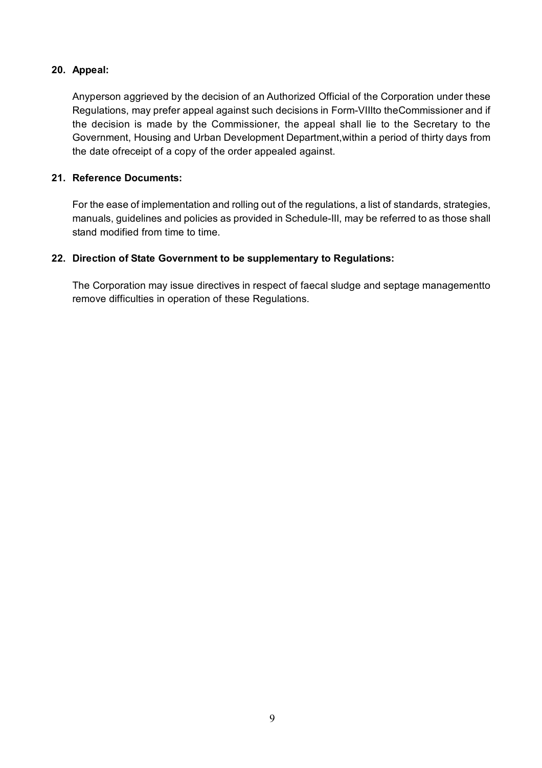## **20. Appeal:**

Anyperson aggrieved by the decision of an Authorized Official of the Corporation under these Regulations, may prefer appeal against such decisions in Form-VIIIto theCommissioner and if the decision is made by the Commissioner, the appeal shall lie to the Secretary to the Government, Housing and Urban Development Department,within a period of thirty days from the date ofreceipt of a copy of the order appealed against.

## **21. Reference Documents:**

For the ease of implementation and rolling out of the regulations, a list of standards, strategies, manuals, guidelines and policies as provided in Schedule-III, may be referred to as those shall stand modified from time to time.

## **22. Direction of State Government to be supplementary to Regulations:**

The Corporation may issue directives in respect of faecal sludge and septage managementto remove difficulties in operation of these Regulations.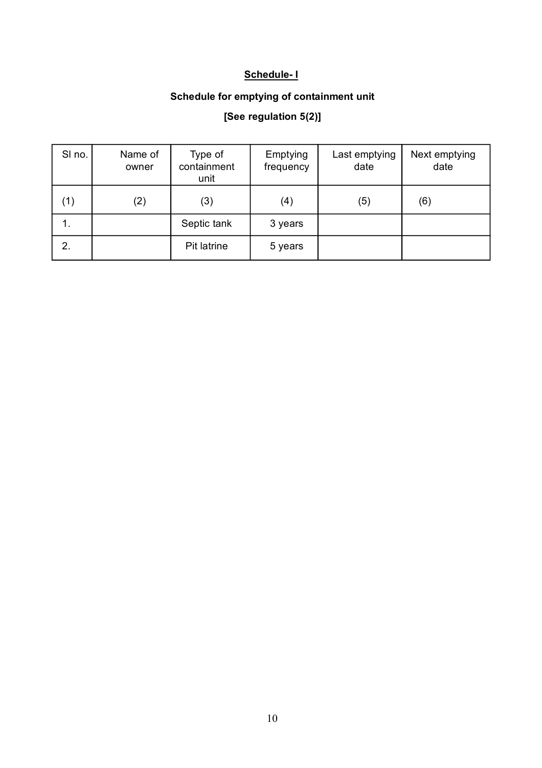# **Schedule- I**

# **Schedule for emptying of containment unit**

# **[See regulation 5(2)]**

| SI no. | Name of<br>owner | Type of<br>containment<br>unit | Emptying<br>frequency | Last emptying<br>date | Next emptying<br>date |
|--------|------------------|--------------------------------|-----------------------|-----------------------|-----------------------|
| (1)    | (2)              | (3)                            | (4)                   | (5)                   | (6)                   |
| .1     |                  | Septic tank                    | 3 years               |                       |                       |
| 2.     |                  | Pit latrine                    | 5 years               |                       |                       |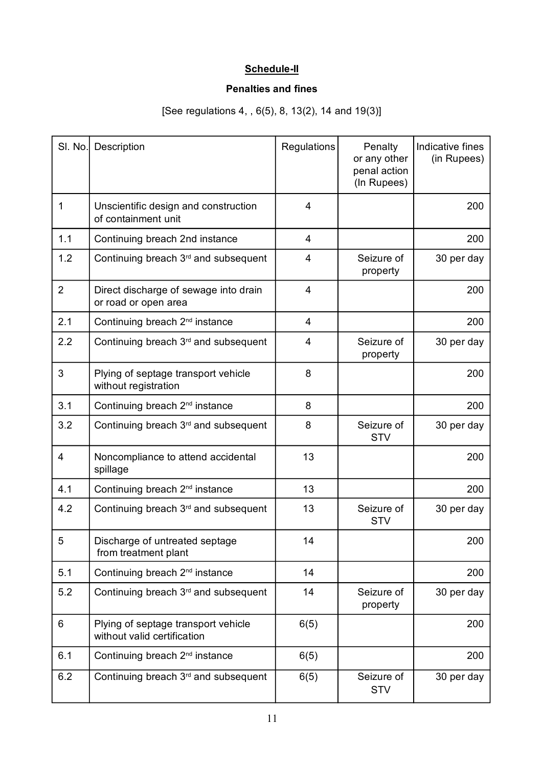# **Schedule-II**

## **Penalties and fines**

[See regulations 4, , 6(5), 8, 13(2), 14 and 19(3)]

| SI. No.        | Description                                                        | Regulations    | Penalty<br>or any other<br>penal action<br>(In Rupees) | Indicative fines<br>(in Rupees) |
|----------------|--------------------------------------------------------------------|----------------|--------------------------------------------------------|---------------------------------|
| 1              | Unscientific design and construction<br>of containment unit        | $\overline{4}$ |                                                        | 200                             |
| 1.1            | Continuing breach 2nd instance                                     | 4              |                                                        | 200                             |
| 1.2            | Continuing breach 3 <sup>rd</sup> and subsequent                   | $\overline{4}$ | Seizure of<br>property                                 | 30 per day                      |
| $\overline{2}$ | Direct discharge of sewage into drain<br>or road or open area      | $\overline{4}$ |                                                        | 200                             |
| 2.1            | Continuing breach 2 <sup>nd</sup> instance                         | $\overline{4}$ |                                                        | 200                             |
| 2.2            | Continuing breach 3 <sup>rd</sup> and subsequent                   | 4              | Seizure of<br>property                                 | 30 per day                      |
| 3              | Plying of septage transport vehicle<br>without registration        | 8              |                                                        | 200                             |
| 3.1            | Continuing breach 2 <sup>nd</sup> instance                         | 8              |                                                        | 200                             |
| 3.2            | Continuing breach 3 <sup>rd</sup> and subsequent                   | 8              | Seizure of<br><b>STV</b>                               | 30 per day                      |
| $\overline{4}$ | Noncompliance to attend accidental<br>spillage                     | 13             |                                                        | 200                             |
| 4.1            | Continuing breach 2 <sup>nd</sup> instance                         | 13             |                                                        | 200                             |
| 4.2            | Continuing breach 3rd and subsequent                               | 13             | Seizure of<br><b>STV</b>                               | 30 per day                      |
| 5              | Discharge of untreated septage<br>from treatment plant             | 14             |                                                        | 200                             |
| 5.1            | Continuing breach 2 <sup>nd</sup> instance                         | 14             |                                                        | 200                             |
| 5.2            | Continuing breach 3 <sup>rd</sup> and subsequent                   | 14             | Seizure of<br>property                                 | 30 per day                      |
| 6              | Plying of septage transport vehicle<br>without valid certification | 6(5)           |                                                        | 200                             |
| 6.1            | Continuing breach 2 <sup>nd</sup> instance                         | 6(5)           |                                                        | 200                             |
| 6.2            | Continuing breach 3rd and subsequent                               | 6(5)           | Seizure of<br><b>STV</b>                               | 30 per day                      |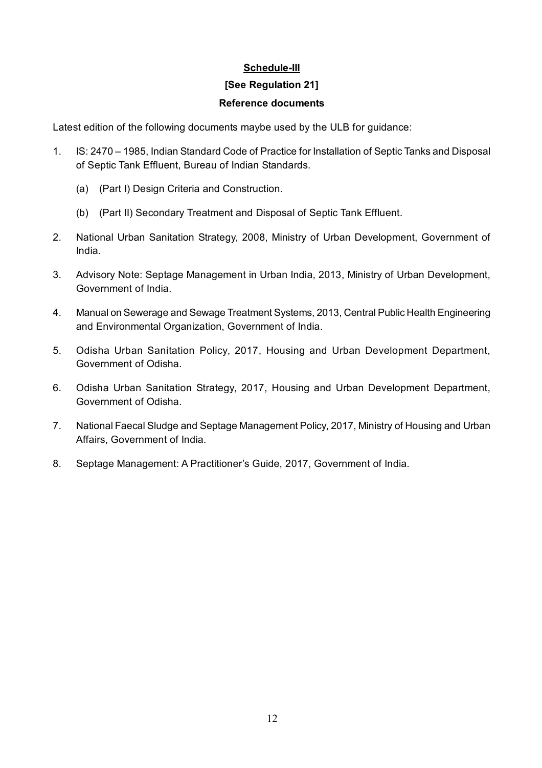## **Schedule-III**

## **[See Regulation 21]**

## **Reference documents**

Latest edition of the following documents maybe used by the ULB for guidance:

- 1. IS: 2470 1985, Indian Standard Code of Practice for Installation of Septic Tanks and Disposal of Septic Tank Effluent, Bureau of Indian Standards.
	- (a) (Part I) Design Criteria and Construction.
	- (b) (Part II) Secondary Treatment and Disposal of Septic Tank Effluent.
- 2. National Urban Sanitation Strategy, 2008, Ministry of Urban Development, Government of India.
- 3. Advisory Note: Septage Management in Urban India, 2013, Ministry of Urban Development, Government of India.
- 4. Manual on Sewerage and Sewage Treatment Systems, 2013, Central Public Health Engineering and Environmental Organization, Government of India.
- 5. Odisha Urban Sanitation Policy, 2017, Housing and Urban Development Department, Government of Odisha.
- 6. Odisha Urban Sanitation Strategy, 2017, Housing and Urban Development Department, Government of Odisha.
- 7. National Faecal Sludge and Septage Management Policy, 2017, Ministry of Housing and Urban Affairs, Government of India.
- 8. Septage Management: A Practitioner's Guide, 2017, Government of India.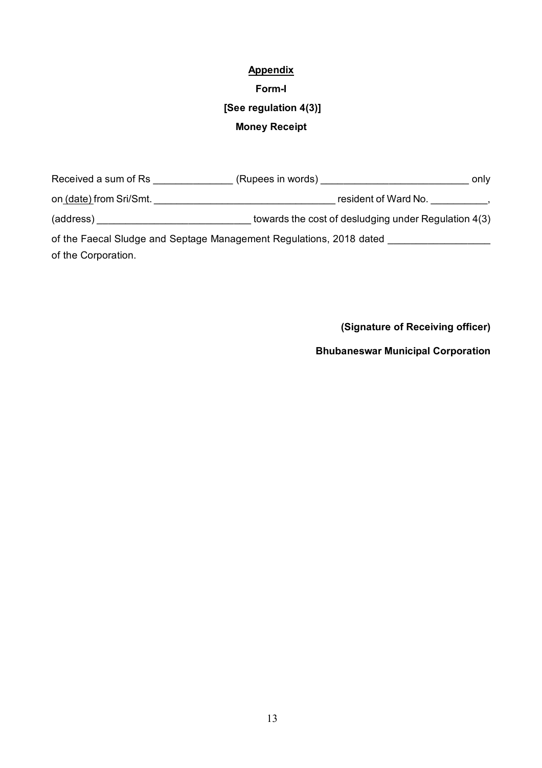# **Appendix Form-I [See regulation 4(3)] Money Receipt**

| Received a sum of Rs    |                                                                     | only                 |
|-------------------------|---------------------------------------------------------------------|----------------------|
| on (date) from Sri/Smt. |                                                                     | resident of Ward No. |
| (address)               | towards the cost of desludging under Regulation 4(3)                |                      |
|                         | of the Faecal Sludge and Septage Management Regulations, 2018 dated |                      |
| of the Corporation.     |                                                                     |                      |

**(Signature of Receiving officer)**

**Bhubaneswar Municipal Corporation**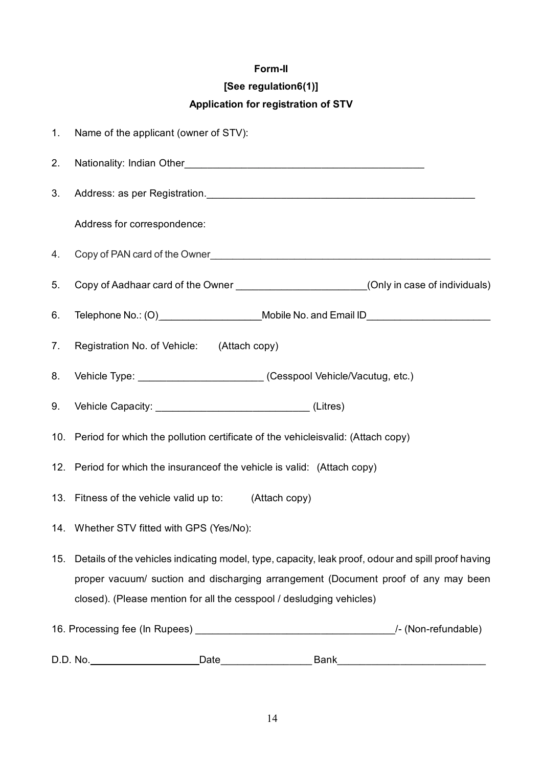# **Form-II [See regulation6(1)]**

# **Application for registration of STV**

| 1.  | Name of the applicant (owner of STV):                                                                                                                                                                                                                            |
|-----|------------------------------------------------------------------------------------------------------------------------------------------------------------------------------------------------------------------------------------------------------------------|
| 2.  | Nationality: Indian Other Mational Community: Indian Other Mational Community: Indian Other Mation Community:                                                                                                                                                    |
| 3.  |                                                                                                                                                                                                                                                                  |
|     | Address for correspondence:                                                                                                                                                                                                                                      |
| 4.  | Copy of PAN card of the Owner                                                                                                                                                                                                                                    |
| 5.  | Copy of Aadhaar card of the Owner _________________________(Only in case of individuals)                                                                                                                                                                         |
| 6.  | Telephone No.: (O)__________________________Mobile No. and Email ID________________________________                                                                                                                                                              |
| 7.  | Registration No. of Vehicle: (Attach copy)                                                                                                                                                                                                                       |
| 8.  |                                                                                                                                                                                                                                                                  |
|     | 9. Vehicle Capacity: __________________________________(Litres)                                                                                                                                                                                                  |
|     | 10. Period for which the pollution certificate of the vehicleisvalid: (Attach copy)                                                                                                                                                                              |
|     | 12. Period for which the insurance of the vehicle is valid: (Attach copy)                                                                                                                                                                                        |
|     | 13. Fitness of the vehicle valid up to: (Attach copy)                                                                                                                                                                                                            |
|     | 14. Whether STV fitted with GPS (Yes/No):                                                                                                                                                                                                                        |
| 15. | Details of the vehicles indicating model, type, capacity, leak proof, odour and spill proof having<br>proper vacuum/ suction and discharging arrangement (Document proof of any may been<br>closed). (Please mention for all the cesspool / desludging vehicles) |
|     |                                                                                                                                                                                                                                                                  |
|     |                                                                                                                                                                                                                                                                  |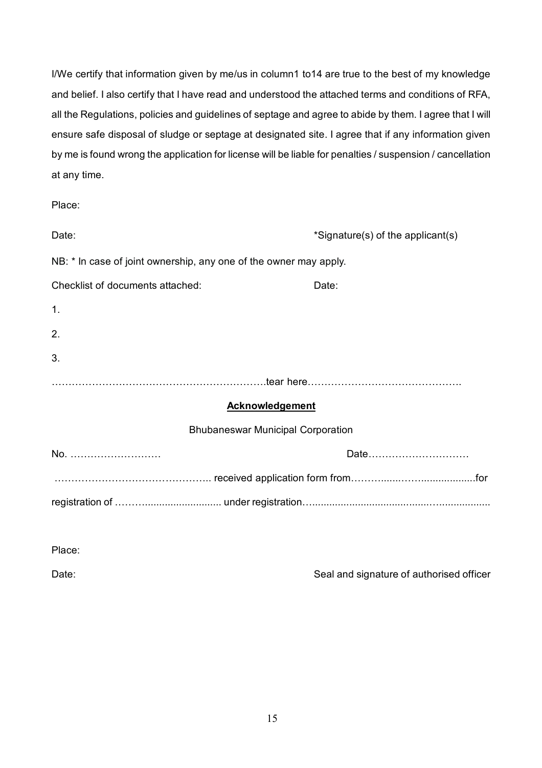I/We certify that information given by me/us in column1 to14 are true to the best of my knowledge and belief. I also certify that I have read and understood the attached terms and conditions of RFA, all the Regulations, policies and guidelines of septage and agree to abide by them. I agree that I will ensure safe disposal of sludge or septage at designated site. I agree that if any information given by me is found wrong the application for license will be liable for penalties / suspension / cancellation at any time.

Place:

| Date:                                                             | *Signature(s) of the applicant(s) |
|-------------------------------------------------------------------|-----------------------------------|
| NB: * In case of joint ownership, any one of the owner may apply. |                                   |
| Checklist of documents attached:                                  | Date:                             |
| 1.                                                                |                                   |
| 2.                                                                |                                   |
| 3.                                                                |                                   |
|                                                                   |                                   |
| <b>Acknowledgement</b>                                            |                                   |
| <b>Bhubaneswar Municipal Corporation</b>                          |                                   |
| No.                                                               | Date                              |
|                                                                   |                                   |
|                                                                   |                                   |
|                                                                   |                                   |

Place:

Date: Date: Seal and signature of authorised officer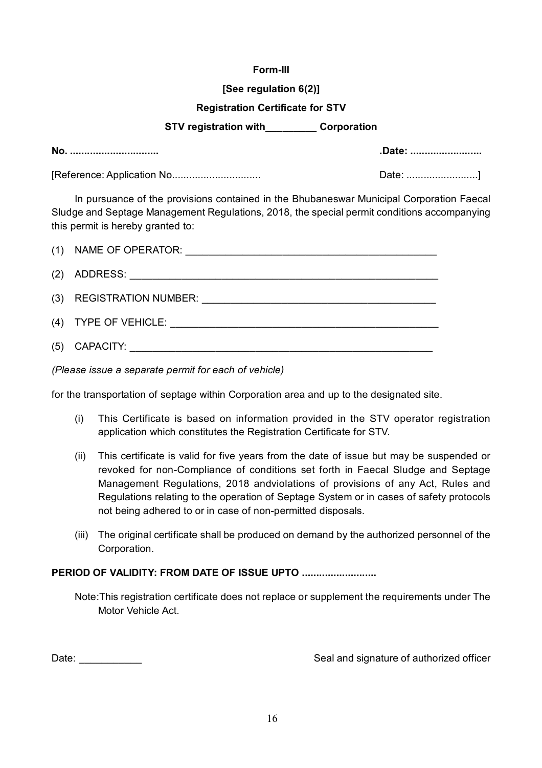## **Form-III**

## **[See regulation 6(2)]**

## **Registration Certificate for STV**

## **STV registration with\_\_\_\_\_\_\_\_\_ Corporation**

**No. ............................... .Date: .........................**

[Reference: Application No............................... Date: .........................]

In pursuance of the provisions contained in the Bhubaneswar Municipal Corporation Faecal Sludge and Septage Management Regulations, 2018, the special permit conditions accompanying this permit is hereby granted to:

| (1) |           |
|-----|-----------|
|     |           |
|     |           |
|     |           |
| (5) | CAPACITY: |

*(Please issue a separate permit for each of vehicle)*

for the transportation of septage within Corporation area and up to the designated site.

- (i) This Certificate is based on information provided in the STV operator registration application which constitutes the Registration Certificate for STV.
- (ii) This certificate is valid for five years from the date of issue but may be suspended or revoked for non-Compliance of conditions set forth in Faecal Sludge and Septage Management Regulations, 2018 andviolations of provisions of any Act, Rules and Regulations relating to the operation of Septage System or in cases of safety protocols not being adhered to or in case of non-permitted disposals.
- (iii) The original certificate shall be produced on demand by the authorized personnel of the Corporation.

## **PERIOD OF VALIDITY: FROM DATE OF ISSUE UPTO ..........................**

Note:This registration certificate does not replace or supplement the requirements under The Motor Vehicle Act.

Date: \_\_\_\_\_\_\_\_\_\_\_ Seal and signature of authorized officer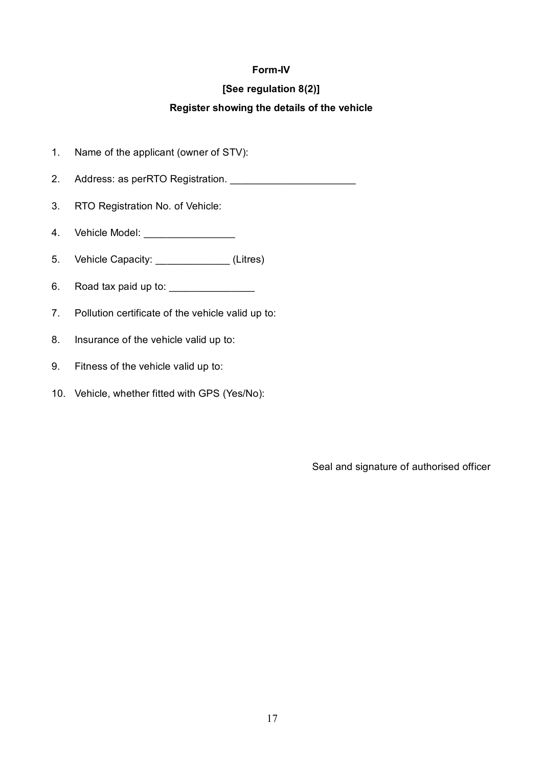## **Form-IV**

## **[See regulation 8(2)]**

## **Register showing the details of the vehicle**

- 1. Name of the applicant (owner of STV):
- 2. Address: as perRTO Registration. \_\_\_\_\_\_\_\_\_\_\_\_\_\_\_\_\_\_\_\_\_\_
- 3. RTO Registration No. of Vehicle:
- 4. Vehicle Model: \_\_\_\_\_\_\_\_\_\_\_\_\_\_\_\_\_
- 5. Vehicle Capacity: \_\_\_\_\_\_\_\_\_\_\_\_\_\_\_(Litres)
- 6. Road tax paid up to:  $\frac{1}{2}$
- 7. Pollution certificate of the vehicle valid up to:
- 8. Insurance of the vehicle valid up to:
- 9. Fitness of the vehicle valid up to:
- 10. Vehicle, whether fitted with GPS (Yes/No):

Seal and signature of authorised officer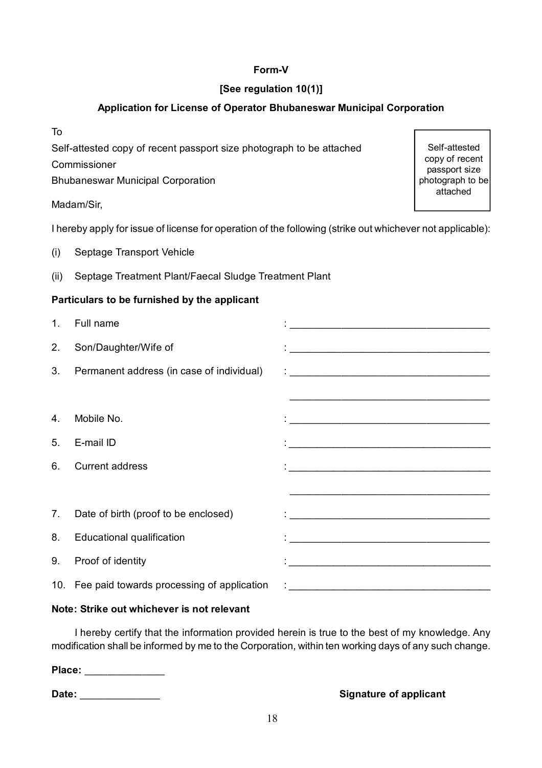## **Form-V**

## **[See regulation 10(1)]**

## **Application for License of Operator Bhubaneswar Municipal Corporation**

To

Self-attested copy of recent passport size photograph to be attached

Commissioner

Bhubaneswar Municipal Corporation

Madam/Sir,

I hereby apply for issue of license for operation of the following (strike out whichever not applicable):

- (i) Septage Transport Vehicle
- (ii) Septage Treatment Plant/Faecal Sludge Treatment Plant

# **Particulars to be furnished by the applicant**

| $\mathbf 1$    | Full name                                      |                                                                                                                       |
|----------------|------------------------------------------------|-----------------------------------------------------------------------------------------------------------------------|
| 2.             | Son/Daughter/Wife of                           | <u> 2002 - Jan James James James James James James James James James James James James James James James James J</u>  |
| 3.             | Permanent address (in case of individual)      |                                                                                                                       |
|                |                                                |                                                                                                                       |
| 4.             | Mobile No.                                     | <u> 1989 - Johann John Harry, mars eta bainar eta industrial eta eta eta erroman eta erroman erroman erroman ezk</u>  |
| 5 <sub>1</sub> | E-mail ID                                      |                                                                                                                       |
| 6.             | <b>Current address</b>                         |                                                                                                                       |
|                |                                                |                                                                                                                       |
| 7.             | Date of birth (proof to be enclosed)           | <u> 2001 - Jan Jan James, mars and de la participation de la participation de la participation de la participatio</u> |
| 8.             | Educational qualification                      | <u> 1989 - Johann John Stein, mars eta biztanleria (</u>                                                              |
| 9.             | Proof of identity                              | <u> 1989 - Johann John Barn, mars ar yw y cynnwys y cynnwys y cynnwys y cynnwys y cynnwys y cynnwys y cynnwys y c</u> |
|                | 10. Fee paid towards processing of application |                                                                                                                       |

## **Note: Strike out whichever is not relevant**

I hereby certify that the information provided herein is true to the best of my knowledge. Any modification shall be informed by me to the Corporation, within ten working days of any such change.

**Place:** \_\_\_\_\_\_\_\_\_\_\_\_\_\_

Date: <u>Date:</u> **Date: Date: Signature of applicant** 

Self-attested copy of recent passport size photograph to be attached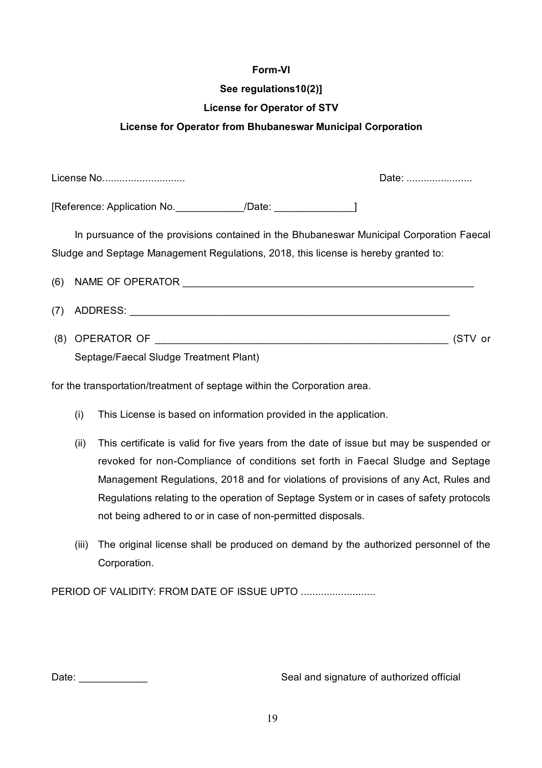## **Form-VI**

## **See regulations10(2)]**

## **License for Operator of STV**

## **License for Operator from Bhubaneswar Municipal Corporation**

|     |                                                                                                                                                                                 | Date:   |
|-----|---------------------------------------------------------------------------------------------------------------------------------------------------------------------------------|---------|
|     | [Reference: Application No. ______________/Date: _______________________________                                                                                                |         |
|     | In pursuance of the provisions contained in the Bhubaneswar Municipal Corporation Faecal<br>Sludge and Septage Management Regulations, 2018, this license is hereby granted to: |         |
| (6) |                                                                                                                                                                                 |         |
| (7) |                                                                                                                                                                                 |         |
|     | Septage/Faecal Sludge Treatment Plant)                                                                                                                                          | (STV or |

for the transportation/treatment of septage within the Corporation area.

- (i) This License is based on information provided in the application.
- (ii) This certificate is valid for five years from the date of issue but may be suspended or revoked for non-Compliance of conditions set forth in Faecal Sludge and Septage Management Regulations, 2018 and for violations of provisions of any Act, Rules and Regulations relating to the operation of Septage System or in cases of safety protocols not being adhered to or in case of non-permitted disposals.
- (iii) The original license shall be produced on demand by the authorized personnel of the Corporation.

PERIOD OF VALIDITY: FROM DATE OF ISSUE UPTO ..........................

Date: \_\_\_\_\_\_\_\_\_\_\_\_ Seal and signature of authorized official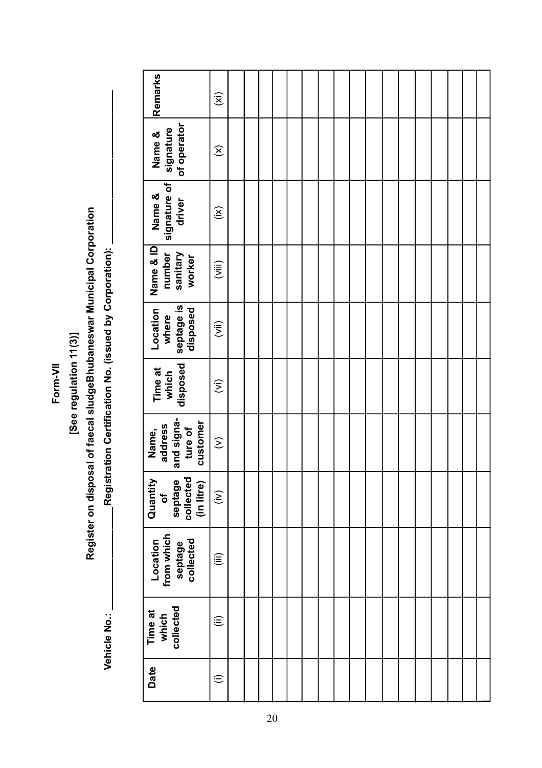**Form-VII**

[See regulation 11(3)] **[See regulation 11(3)]**

Register on disposal of faecal sludgeBhubaneswar Municipal Corporation **Register on disposal of faecal sludgeBhubaneswar Municipal Corporation**

Vehicle No.: \_\_\_\_\_\_\_\_\_\_\_\_\_\_\_\_\_\_\_\_\_\_\_\_\_\_Registration Certification No. (issued by Corporation): \_\_\_\_\_\_\_\_\_\_\_\_\_\_\_\_\_ Registration Certification No. (issued by Corporation): Vehicle No.:

| Remarks                                                          | $\widehat{\mathsf{z}}$                                          |  |  |  |  |  |  |  |  |  |
|------------------------------------------------------------------|-----------------------------------------------------------------|--|--|--|--|--|--|--|--|--|
| of operator<br>signature<br>Name &                               | $\widehat{\infty}$                                              |  |  |  |  |  |  |  |  |  |
| signature of<br>driver<br>Name &                                 | $\widehat{\Xi}$                                                 |  |  |  |  |  |  |  |  |  |
| Name & ID<br>number<br>sanitary<br>worker                        | (iii)                                                           |  |  |  |  |  |  |  |  |  |
| septage is<br>disposed<br>Location<br>where                      | $\widehat{\mathbf{U}}_{\mathbf{U}}^{\left( \mathbf{U}\right) }$ |  |  |  |  |  |  |  |  |  |
| Time at<br>which<br>disposed                                     | $\widehat{z}$                                                   |  |  |  |  |  |  |  |  |  |
| and signa-<br>ture of<br>customer<br>Name,<br>address            | $\widehat{\epsilon}$                                            |  |  |  |  |  |  |  |  |  |
| collected<br>(in litre)<br>Quantity<br>septage<br>$\mathfrak{b}$ | $\sum$                                                          |  |  |  |  |  |  |  |  |  |
| Location<br>from which<br>septage<br>collected                   | $\widehat{\mathbf{f}}(i\mathbf{0}) = \mathbf{0}$                |  |  |  |  |  |  |  |  |  |
| which<br>collected<br>Time at                                    | ⊜                                                               |  |  |  |  |  |  |  |  |  |
| Date                                                             | $\widehat{=}$                                                   |  |  |  |  |  |  |  |  |  |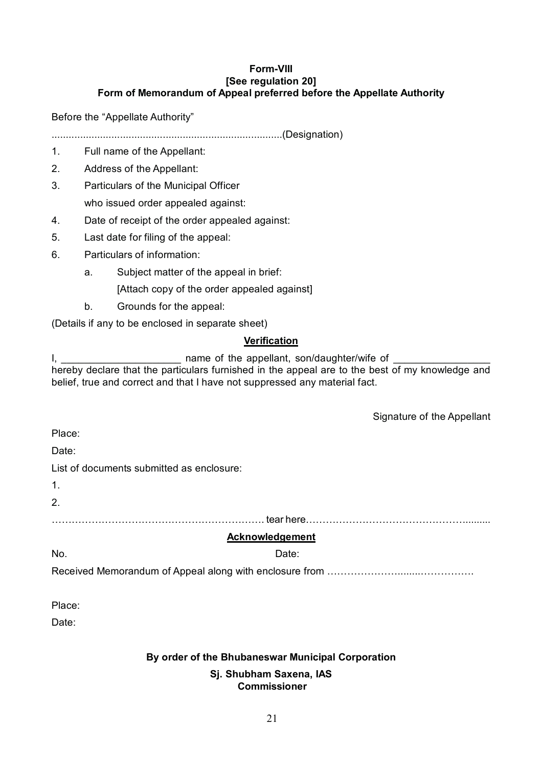#### **Form-VIII [See regulation 20] Form of Memorandum of Appeal preferred before the Appellate Authority**

Before the "Appellate Authority"

.................................................................................(Designation)

- 1. Full name of the Appellant:
- 2. Address of the Appellant:
- 3. Particulars of the Municipal Officer

who issued order appealed against:

- 4. Date of receipt of the order appealed against:
- 5. Last date for filing of the appeal:
- 6. Particulars of information:
	- a. Subject matter of the appeal in brief: [Attach copy of the order appealed against]
	- b. Grounds for the appeal:

(Details if any to be enclosed in separate sheet)

## **Verification**

I, Let a provide the appellant, son/daughter/wife of  $\overline{a}$ hereby declare that the particulars furnished in the appeal are to the best of my knowledge and belief, true and correct and that I have not suppressed any material fact.

Signature of the Appellant

Place:

Date:

List of documents submitted as enclosure:

1.

2.

………………………………………………………. tear here………………………………………….........

## **Acknowledgement**

No. Date:

Received Memorandum of Appeal along with enclosure from …………………........…………….

Place:

Date:

## **By order of the Bhubaneswar Municipal Corporation Sj. Shubham Saxena, IAS**

# **Commissioner**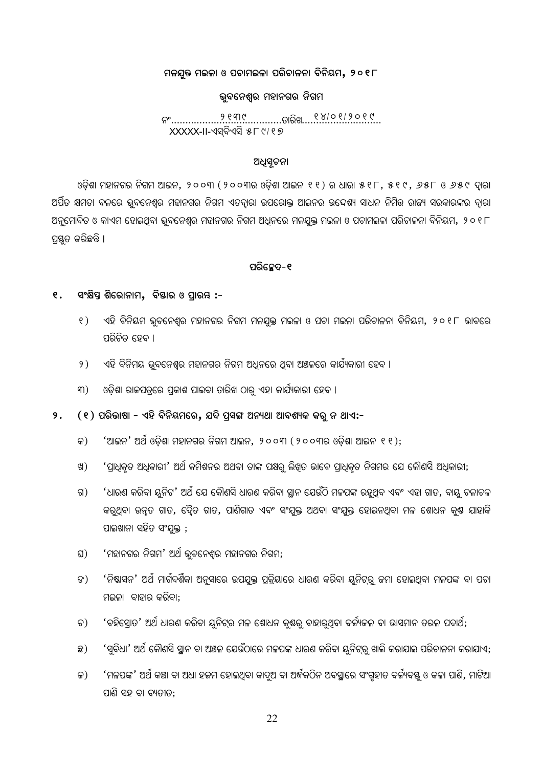#### $ra$ ନଯୁକ୍ତ ମଇଳା ଓ ପଚାମଇଳା ପରିଚାଳନା ବିନିୟମ, ୨୦୧୮

#### ଭବନେଶର ମହାନଗର ନିଗମ

^õ.......................................ZûeòL............................ 2139 14/01/2019 $XXXX$ -II-ଏସବିଏସି $85^\circ$ ୍ମାମ୍ $89^\circ$ 

#### ଅଧିସୂଚନା

ଓଡିଶା ମହାନଗର ନିଗମ ଆଇନ, ୨୦୦୩ (୨୦୦୩ର ଓଡିଶା ଆଇନ ୧୧) ର ଧାରା ୫୧୮, ୫୧୯, ୬୫୮ ଓ ୬୫୯ ଦାରା ଅପିତ କ୍ଷମତା ବଳରେ ଭୁବନେଶ୍ୱର ମହାନଗର ନିଗମ ଏତଦ୍ୱାରା ଉପରୋକ୍ତ ଆଇନର ଉଦ୍ଦେଶ୍ୟ ସାଧନ ନିମିତ୍ତ ରାଜ୍ୟ ସରକାରଙ୍କର ଦ୍ୱାରା ଅନୁମୋଦିତ ଓ କାଏମ ହୋଇଥିବା ଭ୍ରବନେଶ୍ୱର ମହାନଗର ନିଗମ ଅଧିନରେ ମଳଯୁକ୍ତ ମଇଳା ଓ ପଚାମଇଳା ପରିଚାଳନା ବିନିୟମ, ୨୦୧୮ ପ୍ରସ୍ତୁତ କରିଛନ୍ତି ।

#### **\_eòùz\-1**

- $1.$  ସଂକ୍ଷିସ୍ତ ଶିରୋନାମ, ବିସ୍ତାର ଓ ପାରୟ :-
	- ୧ ) ଏହି ବିନିୟମ ଭ୍ରବନେଶ୍ୱର ମହାନଗର ନିଗମ ମଳଯୁକ୍ତ ମଇଳା ଓ ପଚା ମଇଳା ପରିଚାଳନା ବିନିୟମ, ୨୦୧୮ ଭାବରେ ପରିଚିତ ହେବ ।
	- ୨ ) ଏହି ବିନିମୟ ଭ୍ରବନେଶ୍ୱର ମହାନଗର ନିଗମ ଅଧିନରେ ଥିବା ଅଞ୍ଚଳରେ କାର୍ଯ୍ୟକାରୀ ହେବ ।
	- ୩) ଓଡିଶା ରାଜପତ୍ରେ ପ୍ରକାଶ ପାଇବା ତାରିଖ ଠାର୍ ଏହା କାର୍ଯ୍ୟକାରୀ ହେବ ।
- $9.$  (୧) ପରିଭାଷା ଏହି ବିନିୟମରେ, ଯଦି ପ୍**ସଙ୍ଗ ଅନ୍ୟଥା ଆବଶ୍ୟକ କର୍ ନ ଥାଏ:-**
	- କ) 'ଆଇନ' ଅର୍ଥ ଓଡ଼ିଶା ମହାନଗର ନିଗମ ଆଇନ, ୨୦୦୩ (୨୦୦୩ର ଓଡ଼ିଶା ଆଇନ ୧୧);
	- ଖ) 'ପ୍ରାଧିକୃତ ଅଧିକାରୀ' ଅର୍ଥ କମିଶନର ଅଥବା ତାଙ୍କ ପକ୍ଷର୍ ଲିଖିତ ଭାବେ ପ୍ରାଧିକୃତ ନିଗମର ଯେ କୌଣସି ଅଧିକାରୀ;
	- ଗ) 'ଧାରଣ କରିବା ୟୁନିଟ' ଅର୍ଥ ଯେ କୌଣସି ଧାରଣ କରିବା ସ୍ଥାନ ଯେଉଁଠି ମଳପଙ୍କ ରହୁଥିବ ଏବଂ ଏହା ଗାତ, ବାୟୁ ଚଳାଚଳ କର୍ଥବା ଉନ୍ତ ଗାତ, ଦ୍ୱୈତ ଗାତ, ପାଣିଗାତ ଏବଂ ସଂଯୁକ୍ତ ଅଥବା ସଂଯୁକ୍ତ ହୋଇନଥିବା ମଳ ଶୋଧନ କୃଷ ଯାହାକି ପାଇଖାନା ସହିତ ସଂଯଲ୍ତ :
	- ଘ) 'ମହାନଗର ନିଗମ' ଅର୍ଥ ଭୁବନେଶ୍ୱର ମହାନଗର ନିଗମ;
	- ଡ) 'ନିଷ୍କାସନ' ଅର୍ଥ ମାର୍ଗଦର୍ଶିକା ଅନୁସାରେ ଉପଯୁକ୍ତ ପ୍ରକ୍ରିୟାରେ ଧାରଣ କରିବା ୟୁନିଟ୍ର ଜମା ହୋଇଥିବା ମଳପଙ୍କ ବା ପଚା ମଇଳା ବାହାର କରିବା:
	- ଚ) 'ବହିସ୍ରୋତ' ଅର୍ଥ ଧାରଣ କରିବା ୟୁନିଟ୍ର ମଳ ଶୋଧନ କ୍ରୁଷର୍ ବାହାର୍ଥିବା ବର୍ଜ୍ୟଜଳ ବା ଭାସମାନ ତରଳ ପଦାର୍ଥ;
	- ଛ) 'ସୁବିଧା' ଅର୍ଥ କୌଣସି ସ୍ଥାନ ବା ଅଞ୍ଚଳ ଯେଉଁଠାରେ ମଳପଙ୍କ ଧାରଣ କରିବା ୟୁନିଟ୍ର ଖାଲି କରାଯାଇ ପରିଚାଳନା କରାଯାଏ;
	- ଜ) 'ମଳପଙ୍କ' ଅର୍ଥ କଞ୍ଚା ବା ଅଧା ହଜମ ହୋଇଥିବା କାଦଅ ବା ଅର୍ଦ୍ଧକଠିନ ଅବସ୍ତ୍ରାରେ ସଂଗହୀତ ବର୍ଜ୍ୟବସ୍ତ ଓ କଳା ପାଣି, ମାଟିଆ ପାଣି ସହ ବା ବ୍ୟତୀତ;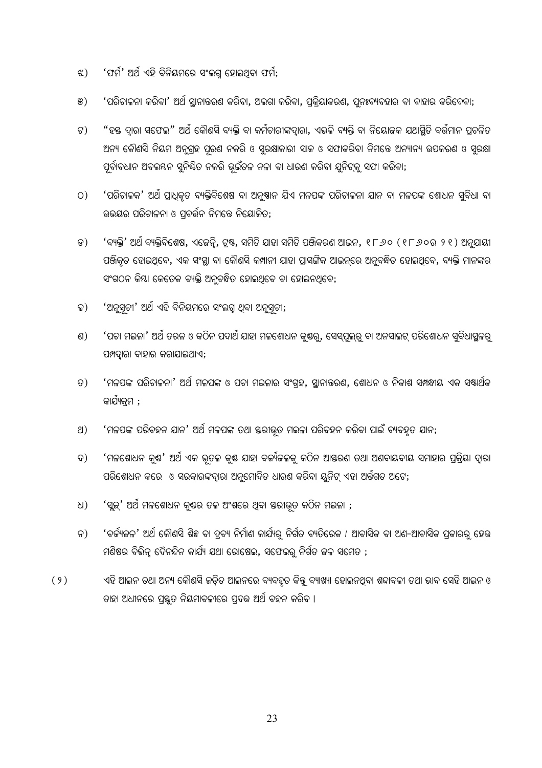- $\alpha$ ) 'ଫର୍ମ' ଅର୍ଥ ଏହି ବିନିୟମରେ ସଂଲଗ୍ଧ ହୋଇଥିବା ଫର୍ମ;
- ଞ) 'ପରିଚାଳନା କରିବା' ଅର୍ଥ ସ୍ଥାନାନ୍ତରଣ କରିବା, ଅଲଗା କରିବା, ପ୍ରକ୍ରିୟାକରଣ, ପୁନଃବ୍ୟବହାର ବା ବାହାର କରିଦେବା;
- ଟ) "ହସ୍ତ ଦ୍ୱାରା ସଫେଇ" ଅର୍ଥ କୌଣସି ବ୍ୟକ୍ତି ବା କର୍ମଚାରୀଙ୍କଦ୍ୱାରା, ଏଭଳି ବ୍ୟକ୍ତି ବା ନିୟୋଜକ ଯଥାସ୍ଥିତି ବର୍ତ୍ତମାନ ପ୍ରଚଳିତ ଅନ୍ୟ କୌଣସି ନିୟମ ଅନୁଗ୍ରହ ପୂରଣ ନକରି ଓ ସୁରକ୍ଷାକାରୀ ସାଜ ଓ ସଫାକରିବା ନିମନ୍ତେ ଅନ୍ୟାନ୍ୟ ଉପକରଣ ଓ ସୁରକ୍ଷା ପୂର୍ବାବଧାନ ଅବଲୟନ ସୁନିୟିତ ନକରି ଭୂଇଁତଳ ନଳା ବା ଧାରଣ କରିବା ଯୁନିଟ୍କୁ ସଫା କରିବା;
- O) 'ପରିଚାଳକ' ଅର୍ଥ ପାଧକତ ବ୍ୟକ୍ତିବିଶେଷ ବା ଅନ୍ଷାନ ଯିଏ ମଳପଙ୍କ ପରିଚାଳନା ଯାନ ବା ମଳପଙ୍କ ଶୋଧନ ସବିଧା ବା ଉଭୟର ପରିଚାଳନା ଓ ପ୍ରବର୍ତ୍ତନ ନିମନ୍ତେ ନିୟୋଜିତ;
- ଡ) 'ବ୍ୟକ୍ତି' ଅର୍ଥ ବ୍ୟକ୍ତିବିଶେଷ, ଏକେନ୍,ି ଟ୍ରଷ୍, ସମିତି ଯାହା ସମିତି ପଞ୍ଜିକରଣ ଆଇନ, ୧୮୬୦ (୧୮୬୦ର ୨୧) ଅନୁଯାୟୀ ପଞ୍ଜିକୃତ ହୋଇଥିବେ, ଏକ ସଂସ୍ଥା ବା କୌଣସି କମ୍ପାନୀ ଯାହା ପ୍ରାସଙ୍ଗିକ ଆଇନ୍ନରେ ଅନୁବନ୍ଧିତ ହୋଇଥିବେ, ବ୍ୟକ୍ତି ମାନଙ୍କର ସଂଗଠନ କିୟା କେତେକ ବ୍ୟକ୍ତି ଅନୁବନ୍ଧିତ ହୋଇଥିବେ ବା ହୋଇନଥିବେ;
- ତ) 'ଅନୁସୂଚୀ' ଅର୍ଥ ଏହି ବିନିୟମରେ ସଂଲଗ୍ଧ ଥିବା ଅନୁସୂଚୀ;
- ଣ) 'ପଚା ମଇଳା' ଅର୍ଥ ତରଳ ଓ କଠିନ ପଦାର୍ଥ ଯାହା ମଳଶୋଧନ କୁକ୍ତରୁ, ସେସ୍ପୁଲ୍ରୁ ବା ଅନସାଇଟ୍ ପରିଶୋଧନ ସୁବିଧାସ୍ଥଳରୁ ପମ୍ପଦ୍ୱାରା ବାହାର କରାଯାଇଥାଏ;
- ତ) 'ମଳପଙ୍କ ପରିଚାଳନା' ଅର୍ଥ ମଳପଙ୍କ ଓ ପଚା ମଇଳାର ସଂଗ୍ରହ, ସ୍ଥାନାନ୍ତରଣ, ଶୋଧନ ଓ ନିକାଶ ସମ୍ପନ୍ଧୀୟ ଏକ ସଷ୍ଟାର୍ଥକ କାର୍ଯ୍ୟକ୍ରମ ;
- ଥ) 'ମଳପଙ୍କ ପରିବହନ ଯାନ' ଅର୍ଥ ମଳପଙ୍କ ତଥା ସ୍ତରୀଭୂତ ମଇଳା ପରିବହନ କରିବା ପାଇଁ ବ୍ୟବହୂତ ଯାନ;
- ଦ) 'ମଳଶୋଧନ କୃଷ' ଅର୍ଥ ଏକ ଭୂତଳ କୃଷ ଯାହା ବର୍ଜ୍ୟଜଳକୁ କଠିନ ଆସ୍ତରଣ ତଥା ଅଣବାୟବୀୟ ସମାହାର ପ୍ରକ୍ରିୟା ଦ୍ୱାରା ପରିଶୋଧନ କରେ ଓ ସରକାରଙ୍କଦ୍ୱାରା ଅନୁମୋଦିତ ଧାରଣ କରିବା ୟୁନିଟ୍ ଏହା ଅର୍ନ୍ତଗତ ଅଟେ;
- ଧ) 'ସୁକ୍' ଅର୍ଥ ମଳଶୋଧନ କୁଷର ତଳ ଅଂଶରେ ଥିବା ସରୀଭୂତ କଠିନ ମଇଳା ;
- ନ) 'ବର୍ଜ୍ୟଜଳ' ଅର୍ଥ କୌଣସି ଶିହ ବା ଦବ୍ୟ ନିର୍ମାଣ କାର୍ଯ୍ୟର୍ ନିର୍ଗତ ବ୍ୟତିରେକ / ଆବାସିକ ବା ଅଣ–ଆବାସିକ ପ୍ରକାରର୍ ହେଉ ମଣିଷର ବିଭିନ୍ନ ଦୈନନ୍ଦିନ କାର୍ଯ୍ୟ ଯଥା ରୋଷେଇ, ସଫେଇର୍ ନିର୍ଗତ ଜଳ ସମେତ ;
- $(9)$  ଏହି ଆଇନ ତଥା ଅନ୍ୟ କୌଣସି ଜଡ଼ିତ ଆଇନରେ ବ୍ୟବହୂତ କିନ୍ତୁ ବ୍ୟାଖ୍ୟା ହୋଇନଥିବା ଶବ୍ଦାବଳୀ ତଥା ଭାବ ସେହି ଆଇନ ଓ ତାହା ଅଧୀନରେ ପ୍ରସ୍ତୁତ ନିୟମାବଳୀରେ ପ୍ରଦତ୍ତ ଅର୍ଥ ବହନ କରିବ ।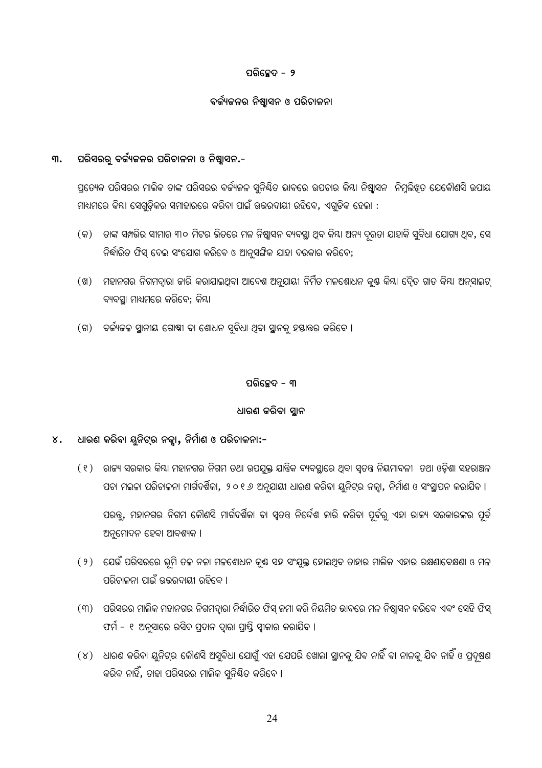## **\_eòùz\ - 2**

## ବର୍ଜ୍ୟକଳର ନିଷ୍କାସନ **ଓ ପରିଚାଳନା**

## <sup>୍</sup>୩. ପରିସରରୁ ବର୍ଜ୍ୟିକଳର ପରିଚାଳନା ଓ ନିଷ୍କାସନ.-

ପ୍ରତ୍ୟେକ ପରିସରର ମାଲିକ ତାଙ୍କ ପରିସରର ବର୍ଜ୍ୟିକଳ ସୁନିୟିତ ଭାବରେ ଉପଚାର କିୟା ନିଷ୍ମାସନ ନିମ୍ନଲିଖିତ ଯେକୌଣସି ଉପାୟ <u>ମା</u>ଧ୍ୟମରେ କିୟା ସେଗଡିକର ସମାହାରରେ କରିବା ପାଇଁ ଉତ୍ତରଦାୟୀ ରହିବେ, ଏଗଡିକ ହେଲା :

- (କ) ତାଙ୍କ ସମ୍ପତ୍ତିର ସୀମାର ୩୦ ମିଟର ଭିତରେ ମଳ ନିଷ୍କାସନ ବ୍ୟବସ୍ଥା ଥିବ କିୟା ଅନ୍ୟ ଦ୍ରତା ଯାହାକି ସୁବିଧା ଯୋଗ୍ୟ ଥିବ, ସେ ିନର୍ଦ୍ଧାରିତ ଫିସ୍ ଦେଇ ସଂଯୋଗ କରିବେ ଓ ଆନୁସଙ୍ଗିକ ଯାହା ଦରକାର କରିବେ;
- (ଖ) ମହାନଗର ନିଗମଦ୍ୱାରା ଜାରି କରାଯାଇଥିବା ଆଦେଶ ଅନୁଯାୟୀ ନିର୍ମିତ ମଳଶୋଧନ କୁଷ କିୟା ଦୈ୍ୱତ ଗାତ କିୟା ଅନ୍ସାଇଟ୍ ବ୍ୟବସ୍ଥା ମାଧ୍ୟମରେ କରିବେ; କିୟା
- (ଗ) ବର୍ଜ୍ୟିଜଳ ସ୍ଥାନୀୟ ଗୋଷୀ ବା ଶୋଧନ ସ୍ୱବିଧା ଥିବା ସ୍ଥାନକୁ ହସ୍ତାନ୍ତର କରିବେ l

#### ପରିଚ୍ଛେଦ – ୩

#### ଧାରଣ କରିବା ସ୍ଥାନ

## $8.$  ଧାରଣ କରିବା ୟୁନିଟ୍ର ନକ୍କା**,** ନିର୍ମାଣ ଓ ପରିଚାଳନା:-

( ୧ ) ରାଜ୍ୟ ସରକାର କିୟା ମହାନଗର ନିଗମ ତଥା ଉପଯୁକ୍ତ ଯାନ୍ତିକ ବ୍ୟବସ୍ଥାରେ ଥିବା ସ୍ୱତନ୍ତ ନିୟମାବଳୀ ତଥା ଓଡ଼ିଶା ସହରାଞ୍ଚଳ ପଚା ମଇଳା ପରିଚାଳନା ମାର୍ଗଦର୍ଶିକା, ୨୦୧*୬* ଅନ୍ଯାୟୀ ଧାରଣ କରିବା ୟନିଟ୍ର ନକାୁ, ନିର୍ମାଣ ଓ ସଂସ୍ଥାପନ କରାଯିବ ।

ପରନ୍ତ୍ର, ମହାନଗର ନିଗମ କୌଣସି ମାର୍ଗଦର୍ଶିକା ବା ସ୍ୱତନ୍ତ ନିର୍ଦ୍ଦେଶ ଜାରି କରିବା ପୂର୍ବରୁ ଏହା ରାଜ୍ୟ ସରକାରଙ୍କର ପୂର୍ବ ଅନୁମୋଦନ ହେବା ଆବଶ୍ୟକ l

- ( ୨ ) ଯେଉଁ ପରିସରରେ ଭୂମି ତଳ ନଳା ମଳଶୋଧନ କୁଷ ସହ ସଂଯୁକ୍ତ ହୋଇଥିବ ତାହାର ମାଲିକ ଏହାର ରକ୍ଷଣାବେକ୍ଷଣା ଓ ମଳ ପରିଚାଳନା ପାଇଁ ଉତ୍ତରଦାୟୀ ରହିବେ ।
- (୩) ପରିସରର ମାଲିକ ମହାନଗର ନିଗମଦ୍ୱାରା ନିର୍ଦ୍ଧାରିତ ଫିସ୍ କମା କରି ନିୟମିତ ଭାବରେ ମଳ ନିଷ୍କାସନ କରିବେ ଏବଂ ସେହି ଫିସ୍ ଫର୍ମ - ୧ ଅନୁସାରେ ରସିଦ ପ୍ରଦାନ ଦ୍ୱାରା ପ୍ରାପ୍ତି ସ୍ୱୀକାର କରାଯିବ ।
- $\delta(\delta)$  ) ଧାରଣ କରିବା ୟୁନିଟ୍ର କୌଣସି ଅସୁବିଧା ଯୋଗୁଁ ଏହା ଯେପରି ଖୋଲା ସ୍ଥାନକୁ ଯିବ ନାହିଁ ବା ନାଳକୁ ଯିବ ନାହିଁ ଓ ପ୍ରଦୂଷଣ କରିବ ନାହିଁ, ତାହା ପରିସରର ମାଲିକ ସନିୟିତ କରିବେ ।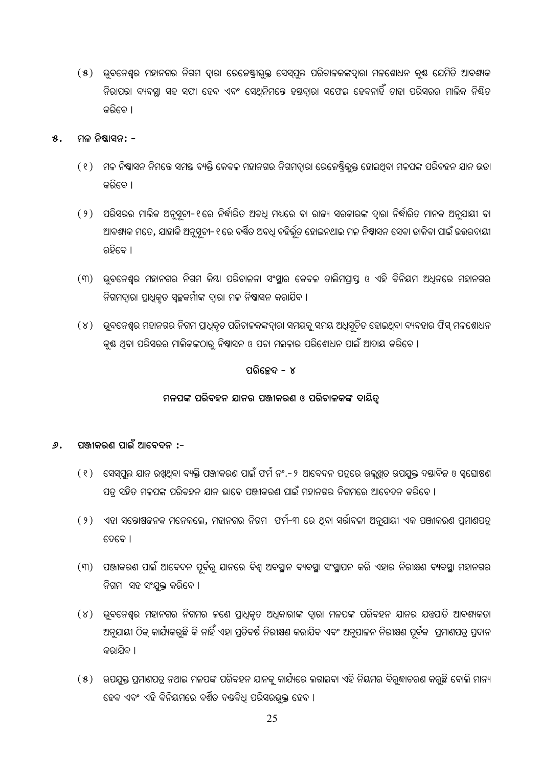- $\,(\,8\,)$  ଭୁବନେଶ୍ୱର ମହାନଗର ନିଗମ ଦ୍ୱାରା ରେକେଷ୍ଟ୍ରୀଭୁକ୍ତ ସେସ୍ପୁଲ ପରିଚାଳକଙ୍କଦ୍ୱାରା ମଳଶୋଧନ କୁଷ୍ଟ ଯେମିତି ଆବଶ୍ୟକ ିନିରାପତ୍ତା ବ୍ୟବସ୍ଥା ସହ ସଫା ହେବ ଏବଂ ସେଥିନିମନ୍ତେ ହସ୍ତଦ୍ୱାରା ସଫେଇ ହେବନାହିଁ ତାହା ପରିସରର ମାଲିକ ନିୟିତ କରିବେ ।
- **5. ck ^òÃûi^: -**
	- ( ୧ ) ମଳ ନିଷ୍କାସନ ନିମନ୍ତେ ସମସ୍ତ ବ୍ୟକ୍ତି କେବଳ ମହାନଗର ନିଗମଦ୍ୱାରା ରେକେଷ୍ଟ୍ରିଭୁକ୍ତ ହୋଇଥିବା ମଳପଙ୍କ ପରିବହନ ଯାନ ଭଡା କରିବେ ।
	- ( ୨ ) ପରିସରର ମାଲିକ ଅନୁସୂଚୀ–୧ରେ ନିର୍ଦ୍ଧାରିତ ଅବଧି ମଧ୍ୟରେ ବା ରାଜ୍ୟ ସରକାରଙ୍କ ଦ୍ୱାରା ନିର୍ଦ୍ଧାରିତ ମାନକ ଅନୁଯାୟୀ ବା ଆବଶ୍ୟକ ମତେ, ଯାହାକି ଅନୁସୂଚୀ– ୧ରେ ବର୍ଷିତ ଅବଧି ବହିର୍ଭୂତ ହୋଇନଥାଇ ମଳ ନିଷ୍କାସନ ସେବା ଡାକିବା ପାଇଁ ଉତ୍ତରଦାୟୀ ରହିବେ ।
	- (୩) ଭୁବନେଶ୍ୱର ମହାନଗର ନିଗମ କିୟା ପରିଚାଳନା ସଂସ୍ଥାର କେବଳ ତାଲିମପ୍ରାପ୍ତ ଓ ଏହି ବିନିୟମ ଅଧିନରେ ମହାନଗର ନିଗମଦ୍ୱାରା ପ୍ରାଧିକୃତ ସ୍ୱଚ୍ଛକର୍ମୀଙ୍କ ଦ୍ୱାରା ମଳ ନିଷ୍କାସନ କରାଯିବ ।
	- (୪) ଭୁବନେଶ୍ୱର ମହାନଗର ନିଗମ ପ୍ରାଧିକୃତ ପରିଚାଳକଙ୍କଦ୍ୱାରା ସମୟକୁ ସମୟ ଅଧିସ୍ତିତ ହୋଇଥିବା ବ୍ୟବହାର ଫିସ୍ ମଳଶୋଧନ କୃଷ ଥିବା ପରିସରର ମାଲିକଙ୍କଠାରୁ ନିଷ୍କାସନ ଓ ପଚା ମଇଳାର ପରିଶୋଧନ ପାଇଁ ଆଦାୟ କରିବେ l

#### **\_eòùz\ - 4**

#### ମଳପଙ୍କ ପରିବହନ ଯାନର ପଞ୍ଜୀକରଣ ଓ ପରିଚାଳକଙ୍କ ଦାୟିତ୍

## $9.$  ପଞ୍ଜୀକରଣ ପାଇଁ ଆବେଦନ :-

- ( ୧ ) ସେସ୍ପ୍ରଲ ଯାନ ରଖିଥିବା ବ୍ୟକ୍ତି ପଞ୍ଜୀକରଣ ପାଇଁ ଫର୍ମ ନଂ.- ୨ ଆବେଦନ ପତ୍ରରେ ଉଲୁଖିତ ଉପଯୁକ୍ତ ଦସ୍ତାବିଜ ଓ ସ୍ୱଘୋଷଣ ପତ ସହିତ ମଳପଙ୍କ ପରିବହନ ଯାନ ଭାବେ ପଞ୍ଜୀକରଣ ପାଇଁ ମହାନଗର ନିଗମରେ ଆବେଦନ କରିବେ ।
- ( ୨ ) ଏହା ସନ୍ତୋଷଜନକ ମନେକଲେ, ମହାନଗର ନିଗମ ଫର୍ମ-୩ ରେ ଥିବା ସର୍ତ୍ତାବଳୀ ଅନୁଯାୟୀ ଏକ ପଞ୍ଜୀକରଣ ପ୍ରମାଣପତ୍ର ଦେବେ ।
- (୩) ପଞ୍ଜୀକରଣ ପାଇଁ ଆବେଦନ ପୂର୍ବରୁ ଯାନରେ ବିଶ୍ୱ ଅବସ୍ଥାନ ବ୍ୟବସ୍ଥା ସଂସ୍ଥାପନ କରି ଏହାର ନିରୀକ୍ଷଣ ବ୍ୟବସ୍ଥା ମହାନଗର ନିଗମ ସହ ସଂଯକ୍ତ କରିବେ ।
- (୪) ଭୁବନେଶ୍ୱର ମହାନଗର ନିଗମର ଜଣେ ପ୍ରାଧିକୂତ ଅଧିକାରୀଙ୍କ ଦ୍ୱାରା ମଳପଙ୍କ ପରିବହନ ଯାନର ଯନ୍ତ୍ରପାତି ଆବଶ୍ୟକତା ଅନୁଯାୟୀ ଠିକ୍ କାର୍ଯ୍ୟକରୁଛି କି ନାହିଁ ଏହା ପ୍ରତିବର୍ଷ ନିରୀକ୍ଷଣ କରାଯିବ ଏବଂ ଅନୁପାଳନ ନିରୀକ୍ଷଣ ପୂର୍ବକ ପ୍ରମାଣପତ୍ର ପ୍ରଦାନ କରାଯିବ ।
- $(8)$  ଉପଯୁକ୍ତ ପ୍ରମାଣପତ୍ର ନଥାଇ ମଳପଙ୍କ ପରିବହନ ଯାନକୁ କାର୍ଯ୍ୟରେ ଲଗାଇବା ଏହି ନିୟମର ବିରୁଦ୍ଧାଚରଣ କରୁଛି ବୋଲି ମାନ୍ୟ ହେବ ଏବଂ ଏହି ବିନିୟମରେ ଦର୍ଶିତ ଦଶ୍ଚବିଧ ପରିସରଭକ୍ତ ହେବ ।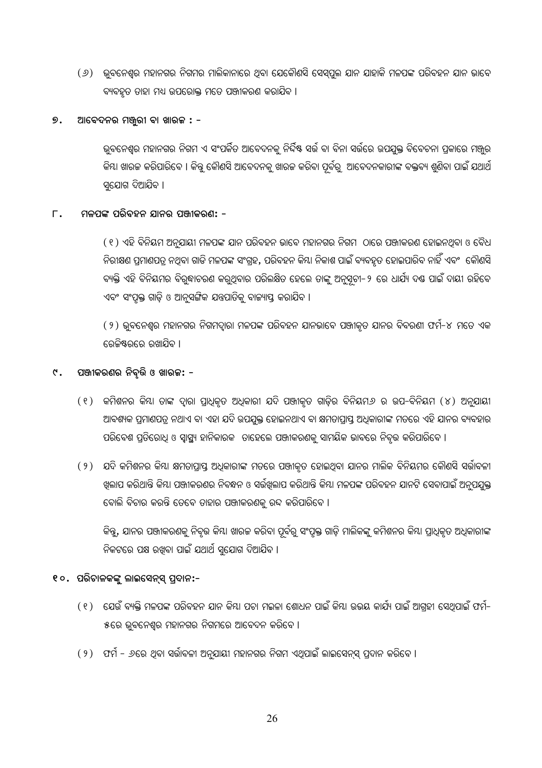$\left(\vartheta\right)$  ଭୁବନେଶ୍ୱର ମହାନଗର ନିଗମର ମାଲିକାନାରେ ଥିବା ଯେକୌଣସି ସେସ୍ପ୍ରଲ ଯାନ ଯାହାକି ମଳପଙ୍କ ପରିବହନ ଯାନ ଭାବେ ବ୍ୟବହୂତ ତାହା ମଧ୍ୟ ଉପରୋକ୍ତ ମତେ ପଞ୍ଜୀକରଣ କରାଯିବ ।

#### $9.$  ଆବେଦନର ମଞ୍ଜୁରୀ ବା ଖାରଜ **:** -

ଭୁବନେଶ୍ୱର ମହାନଗର ନିଗମ ଏ ସଂପର୍କିତ ଆବେଦନକୁ ନିର୍ଦ୍ଦିଷ୍ଟ ସର୍ତ୍ତ ବା ବିନା ସର୍ତ୍ତରେ ଉପଯୁକ୍ତ ବିବେଚନା ପ୍ରକାରେ ମଞ୍ଜୁର କିୟା ଖାରଜ କରିପାରିବେ । କିନ୍ତୁ କୌଣସି ଆବେଦନକୁ ଖାରଜ କରିବା ପୂର୍ବରୁ ଆବେଦନକାରୀଙ୍କ ବକ୍ତବ୍ୟ ଶୁଣିବା ପାଇଁ ଯଥାର୍ଥି ସ୍ୱଯୋଗ ଦିଆଯିବ ।

#### $\Gamma$ **. ମଳପଙ୍କ ପରିବହନ ଯାନର ପଞ୍ଜୀକରଣ: -**

( ୧ ) ଏହି ବିନିୟମ ଅନୁଯାୟୀ ମଳପଙ୍କ ଯାନ ପରିବହନ ଭାବେ ମହାନଗର ନିଗମ ଠାରେ ପଞ୍ଜୀକରଣ ହୋଇନଥିବା ଓ ବୈଧ ିନରୀକ୍ଷଣ ପ୍ରମାଣପତ୍ର ନଥିବା ଗାଡି ମଳପଙ୍କ ସଂଗ୍ରହ, ପରିବହନ କିୟା ନିକାଶ ପାଇଁ ବ୍ୟବହୂତ ହୋଇପାରିବ ନାହିଁ ଏବଂ କୌଣସି ବ୍ୟକ୍ତି ଏହି ବିନିୟମର ବିରୁଦ୍ଧାଚରଣ କରୁଥିବାର ପରିଲକ୍ଷିତ ହେଲେ ତାଙ୍କୁ ଅନୁସୂଚୀ– ୨ ରେ ଧାର୍ଯ୍ୟ ଦଷ ପାଇଁ ଦାୟୀ ରହିବେ ଏବଂ ସଂପୂକ୍ତ ଗାଡ଼ି ଓ ଆନୁସଙ୍ଗିକ ଯନ୍ତ୍ରପାତିକୁ ବାଜ୍ୟାପ୍ତ କରାଯିବ ।

( ୨ ) ଭ୍ରବନେଶ୍ୱର ମହାନଗର ନିଗମଦ୍ୱାରା ମଳପଙ୍କ ପରିବହନ ଯାନଭାବେ ପଞ୍ଜୀକୂତ ଯାନର ବିବରଣୀ ଫର୍ମ–୪ ମତେ ଏକ ରେଜିଷ୍ଟରରେ ରଖାଯିବ ।

#### **9. \_¬úKeYe ^òaéò I LûeR: -**

- $(8)$  କମିଶନର କିୟା ତାଙ୍କ ଦ୍ୱାରା ପ୍ରାଧିକୃତ ଅଧିକାରୀ ଯଦି ପଞ୍ଜୀକୃତ ଗାଡ଼ିର ବିନିୟମ $\mathcal P$ ର ଉପ–ବିନିୟମ  $(8)$  ଅନୁଯାୟୀ ଆବଶ୍ୟକ ପ୍ରମାଣପତ୍ର ନଥାଏ ବା ଏହା ଯଦି ଉପଯୁକ୍ତ ହୋଇନଥାଏ ବା କ୍ଷମତାପ୍ରାପ୍ତ ଅଧିକାରୀଙ୍କ ମତରେ ଏହି ଯାନର ବ୍ୟବହାର ପରିବେଶ ପ୍ରତିରୋଧି ଓ ସ୍ୱାସ୍ଥ୍ୟ ହାନିକାରକ ତାହେଲେ ପଞ୍ଜୀକରଣକୁ ସାମୟିକ ଭାବରେ ନିବୃତ୍ତ କରିପାରିବେ ।
- $(9)$  ଯଦି କମିଶନର କିୟା କ୍ଷମତାପ୍ରାପ୍ତ ଅଧିକାରୀଙ୍କ ମତରେ ପଞ୍ଜୀକୃତ ହୋଇଥିବା ଯାନର ମାଲିକ ବିନିୟମର କୌଣସି ସର୍ଭାବଳୀ ଖୁଲାପ କରିଥାନ୍ତି କିୟା ପଞ୍ଜୀକରଣର ନିବନ୍ଧନ ଓ ସର୍ଭଖିଲାପ କରିଥାନ୍ତି କିୟା ମଳପଙ୍କ ପରିବହନ ଯାନଟି ସେବାପାଇଁ ଅନ୍ପଯୁକ୍ତ ବୋଲି ବିଚାର କରନ୍ତି ତେବେ ତାହାର ପଞ୍ଜୀକରଣକୁ ରଦ୍ଦ କରିପାରିବେ ।

କିକ୍ତୁ, ଯାନର ପଞ୍ଜୀକରଣକୁ ନିବୃତ୍ତ କିୟା ଖାରଜ କରିବା ପୂର୍ବରୁ ସଂପୃକ୍ତ ଗାଡ଼ି ମାଲିକଙ୍କୁ କମିଶନର କିୟା ପ୍ରାଧିକୃତ ଅଧିକାରୀଙ୍କ `ନିକଟରେ ପକ୍ଷ ରଖିବା ପାଇଁ ଯଥାର୍ଥ ସୁଯୋଗ ଦିଆଯିବ ।

#### ୧**୦. ପରିଚାଳକଙ୍କୁ ଲାଇସେନ୍**ସ୍ ପ୍ରଦାନ:-

- ( ୧ ) ଯେଉଁ ବ୍ୟକ୍ତି ମଳପଙ୍କ ପରିବହନ ଯାନ କିୟା ପଚା ମଇଳା ଶୋଧନ ପାଇଁ କିୟା ଉଭୟ କାର୍ଯ୍ୟ ପାଇଁ ଆଗ୍ରହୀ ସେଥିପାଇଁ ଫର୍ମ- $86$ ର ଭୁବନେଶ୍ୱର ମହାନଗର ନିଗମରେ ଆବେଦନ କରିବେ ।
- ( ୨ ) ଫର୍ମ *୬*ରେ ଥିବା ସର୍ତ୍ତାବଳୀ ଅନୁଯାୟୀ ମହାନଗର ନିଗମ ଏଥିପାଇଁ ଲାଇସେନ୍ସ୍ ପ୍ରଦାନ କରିବେ ।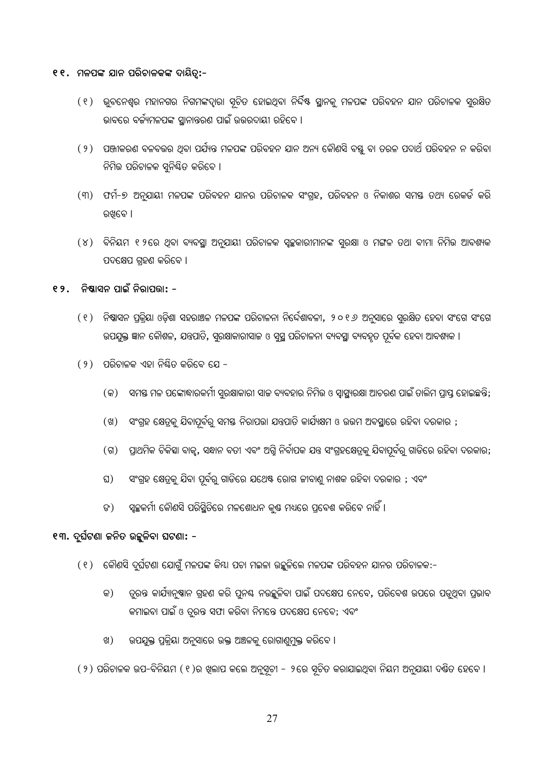#### ୧୧. ମଳପଙ୍କ ଯାନ ପରିଚାଳକଙ୍କ ଦାୟିତ୍:-

- ( ୧ ) ଭୁବନେଶ୍ୱର ମହାନଗର ନିଗମଙ୍କଦ୍ୱାରା ସୂଚିତ ହୋଇଥିବା ନିର୍ଦ୍ଦିଷ୍ଟ ସ୍ଥାନକୁ ମଳପଙ୍କ ପରିବହନ ଯାନ ପରିଚାଳକ ସୁରକ୍ଷିତ ଭାବରେ ବର୍ଜ୍ୟମଳପଙ୍କ ସ୍ଥାନାନ୍ତରଣ ପାଇଁ ଉତ୍ତରଦାୟୀ ରହିବେ ।
- ( ୨ ) ପଞ୍ଜୀକରଣ ବଳବତ୍ତର ଥିବା ପର୍ଯ୍ୟନ୍ତ ମଳପଙ୍କ ପରିବହନ ଯାନ ଅନ୍ୟ କୌଣସି ବସ୍ତୁ ବା ତରଳ ପଦାର୍ଥ ପରିବହନ ନ କରିବା ନିମିତ୍ତ ପରିଚାଳକ ସନିଷ୍ଟିତ କରିବେ ।
- (୩) ଫର୍ମ-୭ ଅନ୍ଯାୟୀ ମଳପଙ୍କ ପରିବହନ ଯାନର ପରିଚାଳକ ସଂଗହ, ପରିବହନ ଓ ନିକାଶର ସମସ୍ତ ତଥ୍ୟ ରେକର୍ଡ କରି ରଖିବେ ।
- (୪) ବିନିୟମ ୧ ୨ରେ ଥିବା ବ୍ୟବସ୍ଥା ଅନୁଯାୟୀ ପରିଚାଳକ ସ୍ୱଚ୍ଛକାରୀମାନଙ୍କ ସୁରକ୍ଷା ଓ ମଙ୍ଗଳ ତଥା ବୀମା ନିମିତ୍ତ ଆବଶ୍ୟକ ପଦକ୍ଷେପ ଗହଣ କରିବେ ।

## ୧୨. ନିଷ୍କାସନ ପାଇଁ ନିରାପଭା: –

- ( ୧ ) ନିଷ୍କାସନ ପ୍ରକ୍ରିୟା ଓଡ଼ିଶା ସହରାଞ୍ଚଳ ମଳପଙ୍କ ପରିଚାଳନା ନିର୍ଦ୍ଦେଶାବଳୀ, ୨୦୧*୬* ଅନୁସାରେ ସୁରକ୍ଷିତ ହେବା ସଂଗେ ସଂଗେ ଉପଯୁକ୍ତ ଜ୍ଞାନ କୌଶଳ, ଯନ୍ତ୍ରପାତି, ସୁରକ୍ଷାକାରୀସାଜ ଓ ସୁସ୍ଥ ପରିଚାଳନା ବ୍ୟବସ୍ଥା ବ୍ୟବହୂତ ପୂର୍ବିକ ହେବା ଆବଶ୍ୟକ ।
- ( ୨ ) ପରିଚାଳକ ଏହା ନିୟିତ କରିବେ ଯେ
	- (କ) ସମସ୍ତ ମଳ ପଙ୍କୋଦ୍ଧାରକର୍ମୀ ସ୍ୱରକ୍ଷାକାରୀ ସାଜ ବ୍ୟବହାର ନିମିଭ ଓ ସ୍ୱାସ୍ଥ୍ୟରକ୍ଷା ଆଚରଣ ପାଇଁ ତାଲିମ ପ୍ରାପ୍ତ ହୋଇଛନ୍ତି;
	- (ଖ) ସଂଗ୍ରହ କ୍ଷେତ୍ରକୁ ଯିବାପୂର୍ବରୁ ସମୟ ନିରାପଭା ଯନ୍ତପାତି କାର୍ଯ୍ୟକ୍ଷମ ଓ ଉତ୍ତମ ଅବସ୍ଥାରେ ରହିବା ଦରକାର ;
	- (ଗ) ପ୍ରାଥମିକ ଚିକିହା ବାକୁ, ସନ୍ଧାନ ବତୀ ଏବଂ ଅଗ୍ନି ନିର୍ବାପକ ଯନ୍ତ୍ର ସଂଗ୍ରହକ୍ଷେତ୍ରକୁ ଯିବାପୂର୍ବରୁ ଗାଡିରେ ରହିବା ଦରକାର;
	- ସଂଗ୍ରହ କ୍ଷେତ୍ରକୁ ଯିବା ପୂର୍ବରୁ ଗାଡିରେ ଯଥେଷ୍ଟ ରୋଗ ଜୀବାଣୁ ନାଶକ ରହିବା ଦରକାର ; ଏବଂ ଘ)
	- ସ୍ୱଚ୍ଛକର୍ମୀ କୌଣସି ପରିସ୍ଥିତିରେ ମଳଶୋଧନ କ୍ର୍ୟ ମଧ୍ୟରେ ପ୍ରବେଶ କରିବେ ନାହିଁ । **&)**

#### ୧୩. ଦୂର୍ଘଟଣା ଜନିତ ଉଚ୍ଛଳିବା ଘଟଣା: –

- ( ୧ ) କୌଣସି ଦୂର୍ଘଟଣା ଯୋଗୁଁ ମଳପଙ୍କ କିୟା ପଚା ମଇଳା ଉଛୁଳିଲେ ମଳପଙ୍କ ପରିବହନ ଯାନର ପରିଚାଳକ:–
	- କ) ତ୍ରବ୍ତ କାର୍ଯ୍ୟାନୁଷାନ ଗ୍ରହଣ କରି ପୁନଷ୍ଟ ନଉଚ୍ଛୁଳିବା ପାଇଁ ପଦକ୍ଷେପ ନେବେ, ପରିବେଶ ଉପରେ ପଡୁଥିବା ପ୍ରଭାବ କମାଇବା ପାଇଁ ଓ ତୁରନ୍ତ ସଫା କରିବା ନିମନ୍ତେ ପଦକ୍ଷେପ ନେବେ; ଏବଂ
	- ଉପଯୁକ୍ତ ପ୍ରକ୍ରିୟା ଅନୁସାରେ ଉକ୍ତ ଅଞ୍ଚଳକୁ ରୋଗାଣୁମୁକ୍ତ କରିବେ । ଖ $)$

( ୨ ) ପରିଚାଳକ ଉପ-ବିନିୟମ ( ୧ )ର ଖିଲାପ କଲେ ଅନୁସୂଚୀ - ୨ରେ ସୂଚିତ କରାଯାଇଥିବା ନିୟମ ଅନୁଯାୟୀ ଦଷ୍ଟିତ ହେବେ ।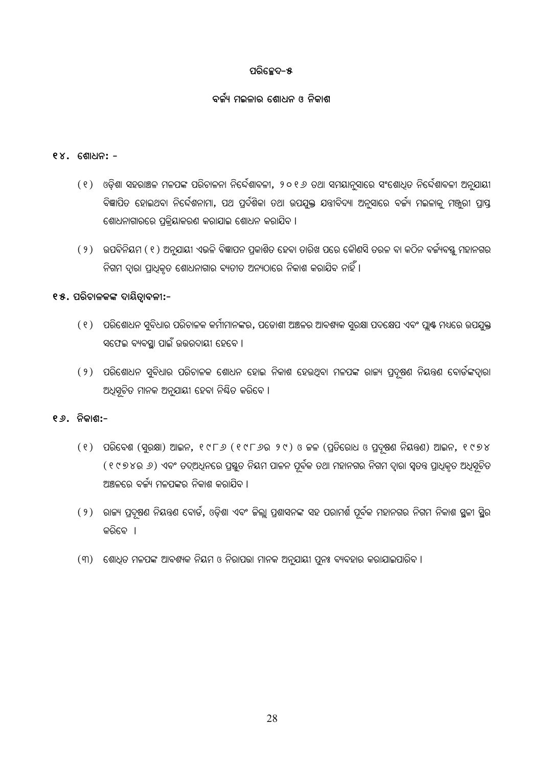## ପରିଚ୍ଛେଦ–୫

## ୍ବର୍ଜ୍ୟ ମଇଳାର ଶୋଧନ ଓ ନିକାଶ

#### **14. ùgû]^: -**

- ( ୧ ) ଓଡ଼ିଶା ସହରାଞ୍ଚଳ ମଳପଙ୍କ ପରିଚାଳନା ନିର୍ଦ୍ଦେଶାବଳୀ, ୨୦୧*୬ ତ*ଥା ସମୟାନୁସାରେ ସଂଶୋଧିତ ନିର୍ଦ୍ଦେଶାବଳୀ ଅନୁଯାୟୀ ବିଜ୍ଞାପିତ ହୋଇଥବା ନିର୍ଦ୍ଦେଶନାମା, ପଥ ପ୍ରର୍ଦଶିକା ତଥା ଉପଯୁକ୍ତ ଯନ୍ତ୍ରୀବିଦ୍ୟା ଅନୁସାରେ ବର୍ଜ୍ୟ ମଇଳାକୁ ମଞ୍ଜୁରୀ ପ୍ରାପ୍ତ ଶୋଧନାଗାରରେ ପ୍ରକ୍ରିୟାକରଣ କରାଯାଇ ଶୋଧନ କରାଯିବ ।
- ( ୨ ) ଉପବିନିୟମ ( ୧ ) ଅନୁଯାୟୀ ଏଭଳି ବିଜ୍ଞାପନ ପ୍ରକାଶିତ ହେବା ତାରିଖ ପରେ କୌଣସି ତରଳ ବା କଠିନ ବର୍ଜ୍ୟବସ୍ତୁ ମହାନଗର ନିଗମ ଦ୍ୱାରା ପ୍ରାଧିକୃତ ଶୋଧନାଗାର ବ୍ୟତୀତ ଅନ୍ୟଠାରେ ନିକାଶ କରାଯିବ ନାହିଁ ।

## ୧୫. ପରିଚାଳକଙ୍କ ଦାୟିତ୍ୱାବଳୀ**:**-

- ( ୧ ) ପରିଶୋଧନ ସୁବିଧାର ପରିଚାଳକ କର୍ମୀମାନଙ୍କର, ପଡୋଶୀ ଅଞ୍ଚଳର ଆବଶ୍ୟକ ସୁରକ୍ଷା ପଦକ୍ଷେପ ଏବଂ ପୁ୍ଲାଷ ମଧ୍ୟରେ ଉପଯୁକ୍ତ ସଫେଇ ବ୍ୟବସ୍ଥା ପାଇଁ ଉତ୍ତରଦାୟୀ ହେବେ ।
- $( \, 9\, )$  ପରିଶୋଧନ ସୁବିଧାର ପରିଚାଳକ ଶୋଧନ ହୋଇ ନିକାଶ ହେଉଥିବା ମଳପଙ୍କ ରାଜ୍ୟ ପ୍ରଦୂଷଣ ନିୟନ୍ତ୍ରଣ ବୋର୍ଡଙ୍କଦ୍ୱାରା ଅଧିସୂଚିତ ମାନକ ଅନୁଯାୟୀ ହେବା ନିଷିତ କରିବେ ।

#### **16. ^òKûg:-**

- (୧) ପରିବେଶ (ସୁରକ୍ଷା) ଆଇନ, ୧୯୮*୬* (୧୯୮*୬*ର ୨୯) ଓ ଜଳ (ପ୍ରତିରୋଧ ଓ ପ୍ରଦୂଷଣ ନିୟନ୍ତଣ) ଆଇନ, ୧୯୭୪  $($ ୧ ୯ ୭ ୪ ର  $\mathcal{P})$  ଏବଂ ତଦ୍ଅଧିନରେ ପ୍ରସ୍ତୁତ ନିୟମ ପାଳନ ପୂର୍ବକ ତଥା ମହାନଗର ନିଗମ ଦ୍ୱାରା ସ୍ୱତନ୍ତ ପ୍ରାଧିକୃତ ଅଧିସୂଚିତ ଅଞ୍ଚଳରେ ବର୍ଜ୍ୟ ମଳପଙ୍କର ନିକାଶ କରାଯିବ ।
- $(9)$  ରାଜ୍ୟ ପ୍ରଦୂଷଣ ନିୟନ୍ତଣ ବୋର୍ଡି, ଓଡ଼ିଶା ଏବଂ ଜିଲ୍ଲା ପ୍ରଶାସନଙ୍କ ସହ ପରାମର୍ଶ ପୂର୍ବିକ ମହାନଗର ନିଗମ ନିକାଶ ସ୍ଥଳୀ ସ୍ଥିର କରିବେ ।
- (୩) ଶୋଧିତ ମଳପଙ୍କ ଆବଶ୍ୟକ ନିୟମ ଓ ନିରାପତ୍ତା ମାନକ ଅନୁଯାୟୀ ପୁନଃ ବ୍ୟବହାର କରାଯାଇପାରିବ ।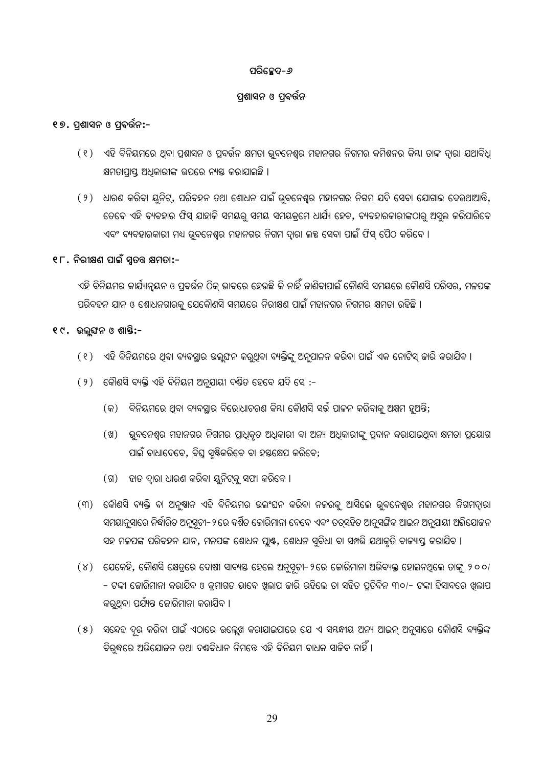#### ପରିଚ୍ଛେଦ–*୬*

## ପଶାସନ **ଓ ପ୍ରବ**ର୍ତ୍ତନ

## ୧୭. ପ୍ରଶାସନ **ଓ ପ୍ରବର୍ତ୍ତନ:-**

- $($ ୧ $)$  ଏହି ବିନିୟମରେ ଥିବା ପ୍ରଶାସନ ଓ ପ୍ରବର୍ତ୍ତନ କ୍ଷମତା ଭୁବନେଶ୍ୱର ମହାନଗର ନିଗମର କମିଶନର କିୟା ତାଙ୍କ ଦ୍ୱାରା ଯଥାବିଧି କ୍ଷମତାପ୍ରାପ୍ତ ଅଧିକାରୀଙ୍କ ଉପରେ ନ୍ୟସ୍ତ କରାଯାଇଛି ।
- $(9)$  ଧାରଣ କରିବା ୟନିଟ, ପରିବହନ ତଥା ଶୋଧନ ପାଇଁ ଭ୍ରବନେଶ୍ୱର ମହାନଗର ନିଗମ ଯଦି ସେବା ଯୋଗାଇ ଦେଉଥାଆନ୍ତି, ତେବେ ଏହି ବ୍ୟବହାର ଫିସ୍ ଯାହାକି ସମୟର୍ ସମୟ ସମୟକ୍ରମେ ଧାର୍ଯ୍ୟ ହେବ, ବ୍ୟବହାରକାରୀଙ୍କଠାର୍ ଅସଲ କରିପାରିବେ ଏବଂ ବ୍ୟବହାରକାରୀ ମଧ୍ୟ ଭୁବନେଶ୍ୱର ମହାନଗର ନିଗମ ଦ୍ୱାରା ଲକ୍ଷ ସେବା ପାଇଁ ଫିସ୍ ପୈଠ କରିବେ l

## ୧୮. ନିରୀକ୍ଷଣ ପାଇଁ ସ୍ୱତ**ନ୍ତ କ୍ଷମତା:-**

ଏହି ବିନିୟମର କାର୍ଯ୍ୟାନ୍ୟନ ଓ ପ୍ରବର୍ତ୍ତନ ଠିକ୍ ଭାବରେ ହେଉଛି କି ନାହିଁ ଜାଣିବାପାଇଁ କୌଣସି ସମୟରେ କୌଣସି ପରିସର, ମଳପଙ୍କ ପରିବହନ ଯାନ ଓ ଶୋଧନଗାରକୁ ଯେକୌଣସି ସମୟରେ ନିରୀକ୍ଷଣ ପାଇଁ ମହାନଗର ନିଗମର କ୍ଷମତା ରହିଛି ।

## **୧୯. ଉଲ୍ଘନ ଓ ଶାୟି:-**

- ( ୧ ) ଏହି ବିନିୟମରେ ଥିବା ବ୍ୟବସ୍ଥାର ଉଲୁଙ୍ଘନ କରୁଥିବା ବ୍ୟକ୍ତିଙ୍କୁ ଅନୁପାଳନ କରିବା ପାଇଁ ଏକ ନୋଟିସ୍ ଜାରି କରାଯିବ ।
- ( 9 ) କୌଣସି ବ୍ୟକ୍ତି ଏହି ବିନିୟମ ଅନ୍ଯାୟୀ ଦର୍ଷିତ ହେବେ ଯଦି ସେ :-
	- (କ) ବିନିୟମରେ ଥିବା ବ୍ୟବସ୍ଥାର ବିରୋଧାଚରଣ କିୟା କୌଣସି ସର୍ଭ ପାଳନ କରିବାକ୍ ଅକ୍ଷମ ହଅନ୍ତି;
	- (ଖ) ଭବନେଶ୍ୱର ମହାନଗର ନିଗମର ପ୍ରାଧିକତ ଅଧିକାରୀ ବା ଅନ୍ୟ ଅଧିକାରୀଙ୍କ ପ୍ରଦାନ କରାଯାଇଥିବା କ୍ଷମତା ପ୍ରୟୋଗ ପାଇଁ ବାଧାଦେବେ, ବିଘ୍ରୁ ସୃଷ୍ଟିକରିବେ ବା ହସ୍ତକ୍ଷେପ କରିବେ;
	- (ଗ) ହାତ ଦ୍ୱାରା ଧାରଣ କରିବା ୟୁନିଟ୍କୁ ସଫା କରିବେ ।
- (୩) କୌଣସି ବ୍ୟକ୍ତି ବା ଅନୁଷ୍ଠାନ ଏହି ବିନିୟମର ଉଲଂଘନ କରିବା ନଜରକୁ ଆସିଲେ ଭ୍ରବନେଶ୍ୱର ମହାନଗର ନିଗମଦ୍ୱାରା ସମୟାନୁସାରେ ନିର୍ଦ୍ଧାରିତ ଅନୁସୂଚୀ– ୨ ରେ ଦର୍ଶିତ ଜୋରିମାନା ଦେବେ ଏବଂ ତତ୍ସହିତ ଆନୁସଙ୍ଗିକ ଆଇନ ଅନୁଯାୟୀ ଅଭିଯୋଜନ ସହ ମଳପଙ୍କ ପରିବହନ ଯାନ, ମଳପଙ୍କ ଶୋଧନ ପ୍ଲାଷ୍ଟ, ଶୋଧନ ସୁବିଧା ବା ସମ୍ପତ୍ତି ୟଥାକୃତି ବାଜ୍ୟାପ୍ତ କରାଯିବ ।
- $(8)$  ଯେକେହି, କୌଣସି କ୍ଷେତ୍ରରେ ଦୋଷୀ ସାବ୍ୟୟ ହେଲେ ଅନୁସୂଚୀ- ୨ରେ ଜୋରିମାନା ଅଭିବ୍ୟକ୍ତ ହୋଇନଥିଲେ ତାଙ୍କୁ ୨୦୦/ – ଟଙ୍କା ଜୋରିମାନା କରାଯିବ ଓ କ୍ମମାଗତ ଭାବେ ଖଲାପ ଜାରି ରହିଲେ ତା ସହିତ ପତିଦିନ ୩୦/– ଟଙ୍କା ହିସାବରେ ଖଲାପ କର୍ଥବା ପର୍ଯ୍ୟନ୍ତ ଜୋରିମାନା କରାଯିବ ।
- (୫) ସନ୍ଦେହ ଦର କରିବା ପାଇଁ ଏଠାରେ ଉଲ୍ଲେଖ କରାଯାଇପାରେ ଯେ ଏ ସୟନ୍ଧୀୟ ଅନ୍ୟ ଆଇନ୍ ଅନୁସାରେ କୌଣସି ବ୍ୟକ୍ତିଙ୍କ ବିରୁଦ୍ଧରେ ଅଭିଯୋଜନ ତଥା ଦଶ୍ଚବିଧାନ ନିମନ୍ତେ ଏହି ବିନିୟମ ବାଧକ ସାଜିବ ନାହିଁ ।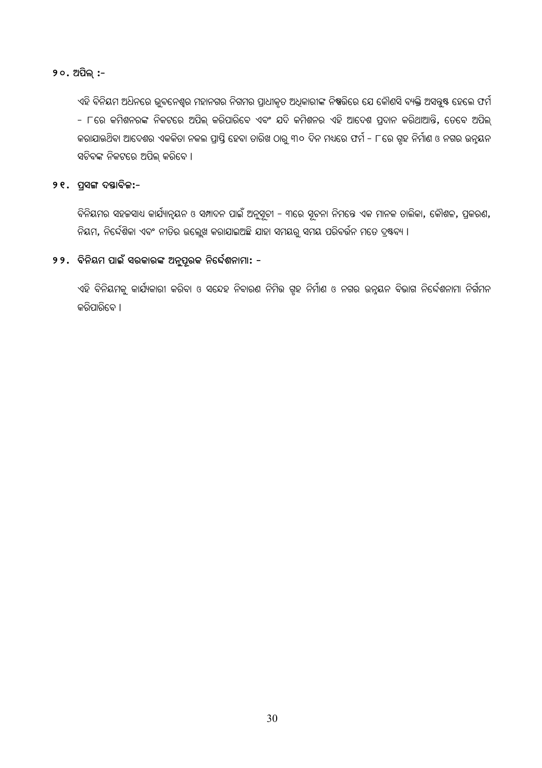## **20. @\_òfþ :-**

ଏହି ବିନିୟମ ଅଧିନରେ ଭୁବନେଶ୍ୱର ମହାନଗର ନିଗମର ପ୍ରାଧୀକୃତ ଅଧିକାରୀଙ୍କ ନିଷ୍ପତିରେ ଯେ କୌଣସି ବ୍ୟକ୍ତି ଅସନ୍ତୁଷ୍ଟ ହେଲେ ଫର୍ମ - ୮ରେ କମିଶନରଙ୍କ ନିକଟରେ ଅପିଲ୍ କରିପାରିବେ ଏବଂ ଯଦି କମିଶନର ଏହି ଆଦେଶ ପ୍ରଦାନ କରିଥାଆନ୍ତି, ତେବେ ଅପିଲ୍ କରାଯାଉଥିବା ଆଦେଶର ଏକକିତା ନକଲ ପ୍ରାପ୍ତି ହେବା ତାରିଖ ଠାରୁ ୩୦ ଦିନ ମଧ୍ୟରେ ଫର୍ମ - ୮ରେ ଗୃହ ନିର୍ମାଣ ଓ ନଗର ଉନ୍ନୟନ ସଚିବଙ୍କ ନିକଟରେ ଅପିଲ୍ କରିବେ ।

## $9e.$  ପ୍ରସଙ୍ଗ ଦୟାବିଜ:-

ବିନିୟମର ସହଜସାଧ୍ୟ କାର୍ଯ୍ୟାନ୍ୱୟନ ଓ ସମ୍ପାଦନ ପାଇଁ ଅନୁସୂଚୀ – ୩ରେ ସୂଚନା ନିମନ୍ତେ ଏକ ମାନକ ତାଲିକା, କୌଶଳ, ପ୍ରକରଣ, ନିୟମ, ନିର୍ଦ୍ଦେଶିକା ଏବଂ ନୀତିର ଉଲ୍ଲେଖ କରାଯାଇଅଛି ଯାହା ସମୟରୁ ସମୟ ପରିବର୍ତ୍ତନ ମତେ ଦ୍ରଷ୍ଟବ୍ୟ ।

# $99.$  ବିନିୟମ ପାଇଁ ସରକାରଙ୍କ ଅନୁପୂରକ ନିର୍ଦ୍ଦେଶନାମା: -

ଏହି ବିନିୟମକୁ କାର୍ଯ୍ୟକାରୀ କରିବା ଓ ସନ୍ଦେହ ନିବାରଣ ନିମିତ୍ତ ଗୂହ ନିର୍ମାଣ ଓ ନଗର ଉନୁୟନ ବିଭାଗ ନିର୍ଦ୍ଦେଶନାମା ନିର୍ଗମନ କରିପାରିବେ ।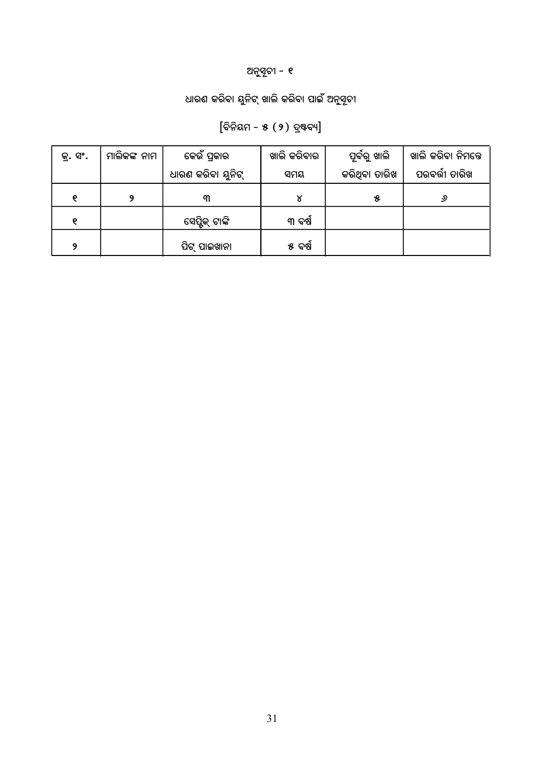# ଅନୁସୂଚୀ - ୧

# ଧାରଣ କରିବା ୟୁନିଟ୍ ଖାଲି କରିବା ପାଇଁ ଅନୁସୂଚୀ

[ବିନିୟମ - ୫ (୨) ଦ୍ରଷ୍ଟବ୍ୟ]

| କୁ. ସଂ. | ମାଲିକଙ୍କ ନାମ | କେଉଁ ପ୍ରକାର       | ଖାଲି କରିବାର | ପୂର୍ବରୁ ଖାଲି  | ଖାଲି କରିବା ନିମନ୍ତେ |
|---------|--------------|-------------------|-------------|---------------|--------------------|
|         |              | ଧାରଣ କରିବା ୟୁନିଟ୍ | ସମୟ         | କରିଥିବା ତାରିଖ | ପରବର୍ତ୍ତୀ ତାରିଖ    |
| e       |              | ୩                 | ४           | 8             | وي                 |
| ρ       |              | ସେପୁିକ୍ ଟାଙ୍କି    | ୩ ବର୍ଷ      |               |                    |
| 9       |              | ପିଟ୍ ପାଇଖାନା      | ୫ ବର୍ଷ      |               |                    |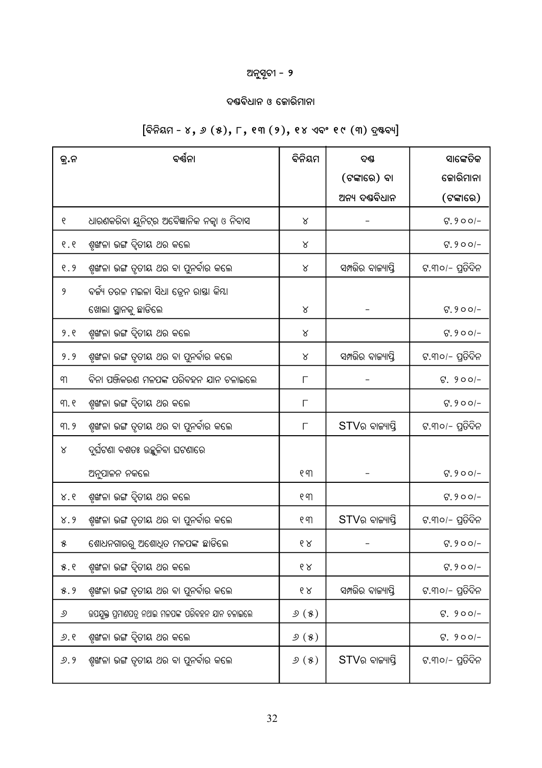# ଅନୁସୂଚୀ - **୨**

# ଦ<mark>ଷବିଧାନ ଓ ଜୋରିମାନା</mark>

# $\left[\widehat{q}\widehat{q}$ ୟମ - ୪, ୬ (୫), ୮, ୧୩ (୨), ୧୪ ଏବଂ ୧୯ (୩) ଦ୍ରଷ୍**ବ୍ୟ**]

| କ୍ର.ନ           | ବର୍ଣ୍ଣନା                                         | ବିନିୟମ | ଦଶ୍ଚ                 | ସାଙ୍କେତିକ       |
|-----------------|--------------------------------------------------|--------|----------------------|-----------------|
|                 |                                                  |        | (ଟଙ୍କାରେ) ବା         | ଜୋରିମାନା        |
|                 |                                                  |        | ଅନ୍ୟ ଦଷ୍ଟବିଧାନ       | (ଟଙ୍କାରେ)       |
| ୧               | ଧାରଣକରିବା ୟୁନିଟ୍ର ଅବୈଜ୍ଞାନିକ ନକ୍କା ଓ ନିବାସ       | ୪      |                      | $G.900/-$       |
| $\ell$ . $\ell$ | ଶୂଙ୍ଖଳା ଭଙ୍ଗ ଦ୍ୱିତୀୟ ଥର କଲେ                      | ୪      |                      | $S.900/-$       |
| 8.9             | ଶୃଙ୍ଖଳା ଭଙ୍ଗ ତୃତୀୟ ଥର ବା ପୁନର୍ବାର କଲେ            | ୪      | ସମ୍ପତ୍ତିର ବାଜ୍ୟାପ୍ତି | ଟ.୩୦/– ପ୍ରତିଦିନ |
| 9               | ବର୍ଜ୍ୟ ତରଳ ମଇଳା ସିଧା ଡେନ ରାସ୍ତା କିୟା             |        |                      |                 |
|                 | ଖୋଲା ସ୍ଥାନକୁ ଛାଡିଲେ                              | ୪      |                      | $S.900/-$       |
| 9.8             | ଶୃଙ୍ଖଳା ଭଙ୍ଗ ଦ୍ୱିତୀୟ ଥର କଲେ                      | ୪      |                      | $S.900/-$       |
| 9.9             | ଶୃଙ୍ଖଳା ଭଙ୍ଗ ତୃତୀୟ ଥର ବା ପୁନର୍ବାର କଲେ            | ୪      | ସମ୍ପତ୍ତିର ବାଜ୍ୟାପ୍ତି | ଟ.୩୦/– ପ୍ରତିଦିନ |
| ୩               | ବିନା ପଞ୍ଜିକରଣ ମଳପଙ୍କ ପରିବହନ ଯାନ ଚଳାଇଲେ           | Г      |                      | $G. 900/-$      |
| ୩. ୧            | ଶୃଙ୍ଖଳା ଭଙ୍ଗ ଦ୍ୱିତୀୟ ଥର କଲେ                      | Г      |                      | $S.900/-$       |
| ୩. ୨            | ଶୃଙ୍ଖଳା ଭଙ୍ଗ ତୃତୀୟ ଥର ବା ପୁନର୍ବାର କଲେ            | Г      | $STV$ ର ବାଜ୍ୟାପ୍ତି   | ଟ.୩୦/– ପ୍ରତିଦିନ |
| ୪               | ଦୁର୍ଘଟଣା ବଶତଃ ଉଚ୍ଛ୍ଲିକବା ଘଟଣାରେ                  |        |                      |                 |
|                 | ଅନୁପାଳନ ନକଲେ                                     | ୧ ୩    |                      | $G.900/-$       |
| 8.6             | ଶୂଙ୍ଖଳା ଭଙ୍ଗ ଦ୍ୱିତୀୟ ଥର କଲେ                      | ୧ ୩    |                      | $S.900/-$       |
| 8.9             | ଶୃଙ୍ଖଳା ଭଙ୍ଗ ତୃତୀୟ ଥର ବା ପୁନର୍ବାର କଲେ            | ୧ ୩    | $STV$ ର ବାଜ୍ୟାପ୍ତି   | ଟ.୩୦/– ପ୍ରତିଦିନ |
| 8               | ଶୋଧନଗାରରୁ ଅଶୋଧିତ ମଳପଙ୍କ ଛାଡିଲେ                   | 68     |                      | $S.900/-$       |
| 8.8             | ଶ୍ୱଙ୍ଖଳା ଭଙ୍ଗ ଦ୍ୱିତୀୟ ଥର କଲେ                     | 68     |                      | $G.900/-$       |
| 8.9             | ଶ୍ମଙ୍ଖଳା ଭଙ୍ଗ ତୃତୀୟ ଥର ବା ପୁନର୍ବାର କଲେ           | 68     | ସମ୍ପତ୍ତିର ବାଜ୍ୟାପ୍ତି | ଟ.୩୦/– ପ୍ରତିଦିନ |
| و               | ଉପଯୁକ୍ତ ପ୍ରମାଶପତ୍ର ନଥାଇ ମଳପଙ୍କ ପରିବହନ ଯାନ ଚଳାଇଲେ | 9(8)   |                      | $G. 900/-$      |
| ୬.९             | ଶ୍ଚଙ୍ଖଳା ଭଙ୍ଗ ଦ୍ୱିତୀୟ ଥର କଲେ                     | 9(8)   |                      | $G. 900/-$      |
| و .و            | ଶୃଙ୍ଖଳା ଭଙ୍ଗ ତୃତୀୟ ଥର ବା ପୁନର୍ବାର କଲେ            | ৩ (୫)  | $STV$ ର ବାଜ୍ୟାପ୍ତି   | ଟ.୩୦/– ପ୍ରତିଦିନ |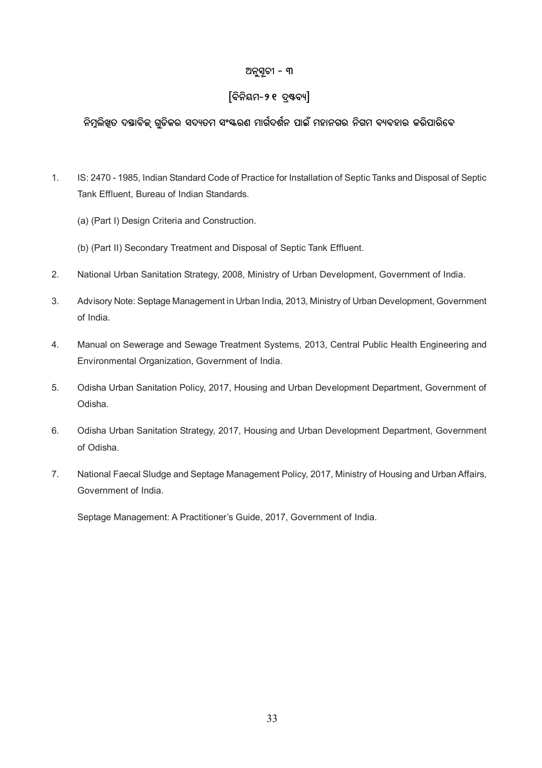## ଅନ<u>ୁସ</u>ୂଚୀ - ୩

## $\lceil$ ବିନିୟମ-୨୧ ଦ୍**ଷ**ବ୍ୟା

## ିନମୁଲିଖିତ ଦୟାବିକ୍ ଗୁଡିକର ସଦ୍ୟତମ ସଂୟରଣ ମାର୍ଗଦର୍ଶନ ପାଇଁ ମହାନଗର ନିଗମ ବ୍ୟବହାର କରିପାରିବେ

- 1. IS: 2470 1985, Indian Standard Code of Practice for Installation of Septic Tanks and Disposal of Septic Tank Effluent, Bureau of Indian Standards.
	- (a) (Part I) Design Criteria and Construction.
	- (b) (Part II) Secondary Treatment and Disposal of Septic Tank Effluent.
- 2. National Urban Sanitation Strategy, 2008, Ministry of Urban Development, Government of India.
- 3. Advisory Note: Septage Management in Urban India, 2013, Ministry of Urban Development, Government of India.
- 4. Manual on Sewerage and Sewage Treatment Systems, 2013, Central Public Health Engineering and Environmental Organization, Government of India.
- 5. Odisha Urban Sanitation Policy, 2017, Housing and Urban Development Department, Government of Odisha.
- 6. Odisha Urban Sanitation Strategy, 2017, Housing and Urban Development Department, Government of Odisha.
- 7. National Faecal Sludge and Septage Management Policy, 2017, Ministry of Housing and Urban Affairs, Government of India.

Septage Management: A Practitioner's Guide, 2017, Government of India.